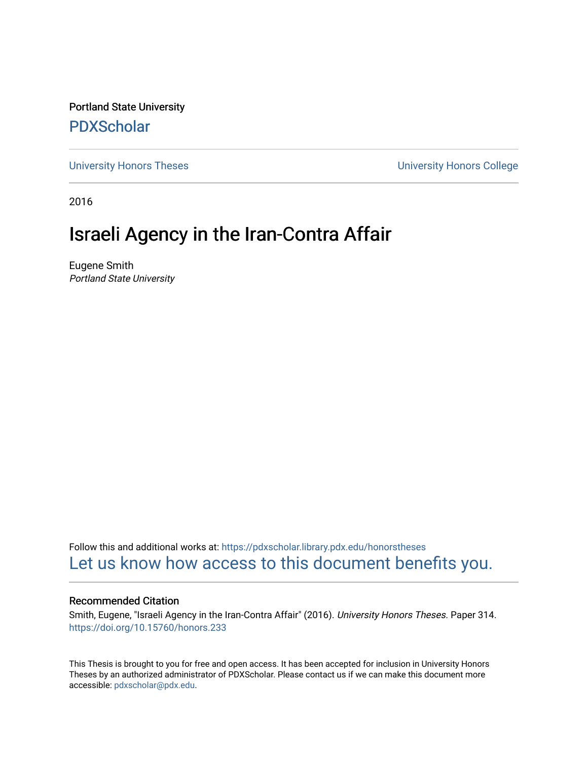Portland State University [PDXScholar](https://pdxscholar.library.pdx.edu/)

[University Honors Theses](https://pdxscholar.library.pdx.edu/honorstheses) [University Honors College](https://pdxscholar.library.pdx.edu/honors) 

2016

# Israeli Agency in the Iran-Contra Affair

Eugene Smith Portland State University

Follow this and additional works at: [https://pdxscholar.library.pdx.edu/honorstheses](https://pdxscholar.library.pdx.edu/honorstheses?utm_source=pdxscholar.library.pdx.edu%2Fhonorstheses%2F314&utm_medium=PDF&utm_campaign=PDFCoverPages)  [Let us know how access to this document benefits you.](http://library.pdx.edu/services/pdxscholar-services/pdxscholar-feedback/) 

#### Recommended Citation

Smith, Eugene, "Israeli Agency in the Iran-Contra Affair" (2016). University Honors Theses. Paper 314. <https://doi.org/10.15760/honors.233>

This Thesis is brought to you for free and open access. It has been accepted for inclusion in University Honors Theses by an authorized administrator of PDXScholar. Please contact us if we can make this document more accessible: [pdxscholar@pdx.edu.](mailto:pdxscholar@pdx.edu)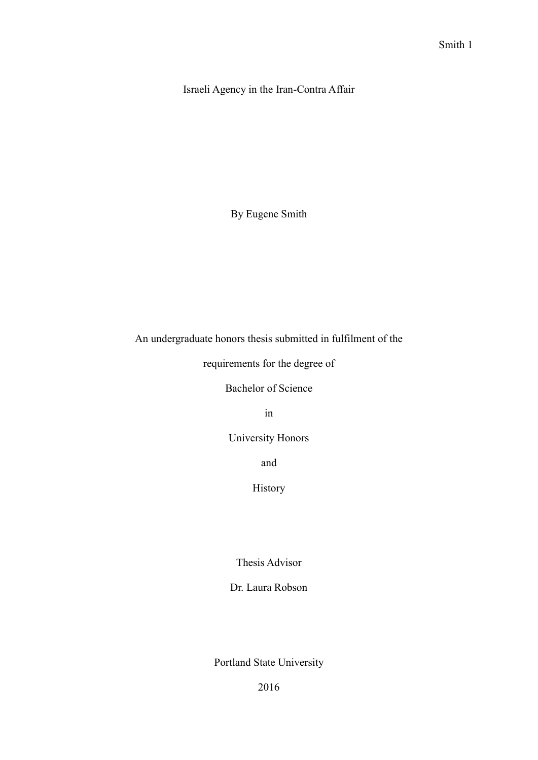Israeli Agency in the Iran-Contra Affair

By Eugene Smith

An undergraduate honors thesis submitted in fulfilment of the

requirements for the degree of

Bachelor of Science

in

University Honors

and

History

Thesis Advisor

Dr. Laura Robson

Portland State University

2016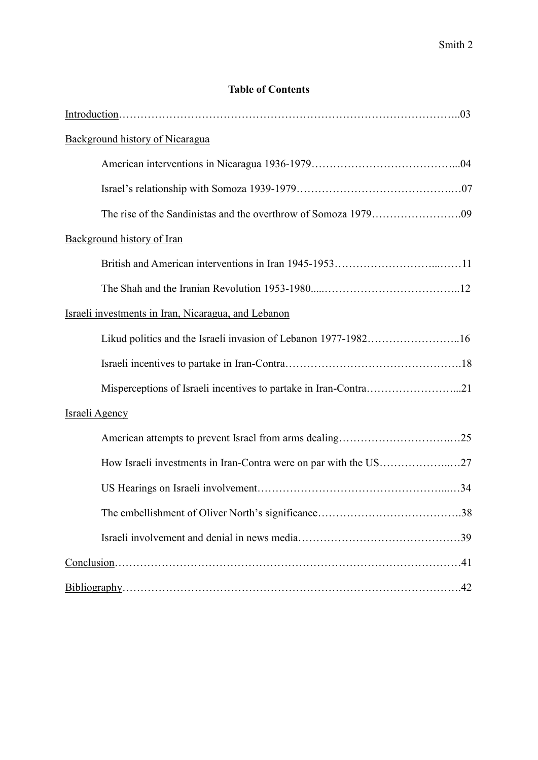# **Table of Contents**

| Background history of Nicaragua                                  |  |
|------------------------------------------------------------------|--|
|                                                                  |  |
|                                                                  |  |
|                                                                  |  |
| Background history of Iran                                       |  |
|                                                                  |  |
|                                                                  |  |
| Israeli investments in Iran, Nicaragua, and Lebanon              |  |
| Likud politics and the Israeli invasion of Lebanon 1977-198216   |  |
|                                                                  |  |
| Misperceptions of Israeli incentives to partake in Iran-Contra21 |  |
| Israeli Agency                                                   |  |
|                                                                  |  |
| How Israeli investments in Iran-Contra were on par with the US27 |  |
|                                                                  |  |
|                                                                  |  |
|                                                                  |  |
|                                                                  |  |
|                                                                  |  |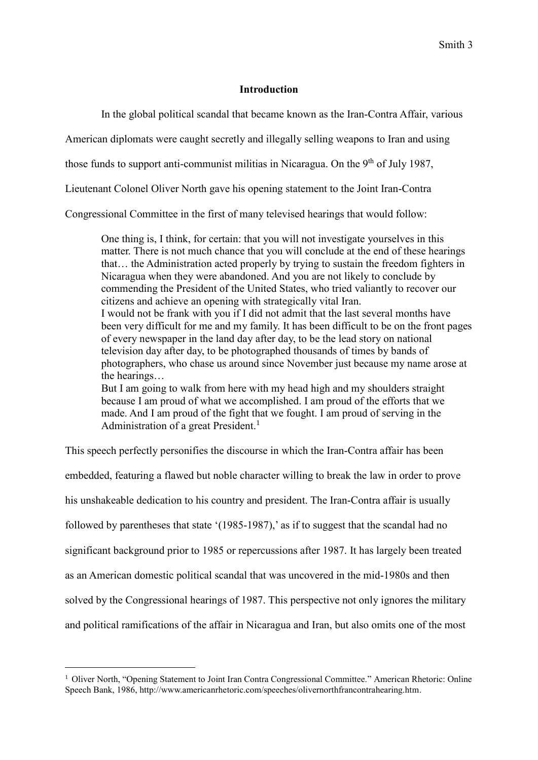## **Introduction**

In the global political scandal that became known as the Iran-Contra Affair, various

American diplomats were caught secretly and illegally selling weapons to Iran and using

those funds to support anti-communist militias in Nicaragua. On the  $9<sup>th</sup>$  of July 1987,

Lieutenant Colonel Oliver North gave his opening statement to the Joint Iran-Contra

Congressional Committee in the first of many televised hearings that would follow:

One thing is, I think, for certain: that you will not investigate yourselves in this matter. There is not much chance that you will conclude at the end of these hearings that… the Administration acted properly by trying to sustain the freedom fighters in Nicaragua when they were abandoned. And you are not likely to conclude by commending the President of the United States, who tried valiantly to recover our citizens and achieve an opening with strategically vital Iran. I would not be frank with you if I did not admit that the last several months have been very difficult for me and my family. It has been difficult to be on the front pages of every newspaper in the land day after day, to be the lead story on national television day after day, to be photographed thousands of times by bands of photographers, who chase us around since November just because my name arose at the hearings… But I am going to walk from here with my head high and my shoulders straight because I am proud of what we accomplished. I am proud of the efforts that we made. And I am proud of the fight that we fought. I am proud of serving in the Administration of a great President.<sup>1</sup>

This speech perfectly personifies the discourse in which the Iran-Contra affair has been embedded, featuring a flawed but noble character willing to break the law in order to prove his unshakeable dedication to his country and president. The Iran-Contra affair is usually followed by parentheses that state '(1985-1987),' as if to suggest that the scandal had no significant background prior to 1985 or repercussions after 1987. It has largely been treated as an American domestic political scandal that was uncovered in the mid-1980s and then solved by the Congressional hearings of 1987. This perspective not only ignores the military and political ramifications of the affair in Nicaragua and Iran, but also omits one of the most

<sup>1</sup> Oliver North, "Opening Statement to Joint Iran Contra Congressional Committee." American Rhetoric: Online Speech Bank, 1986, [http://www.americanrhetoric.com/speeches/olivernorthfrancontrahearing.htm.](http://www.americanrhetoric.com/speeches/olivernorthfrancontrahearing.htm)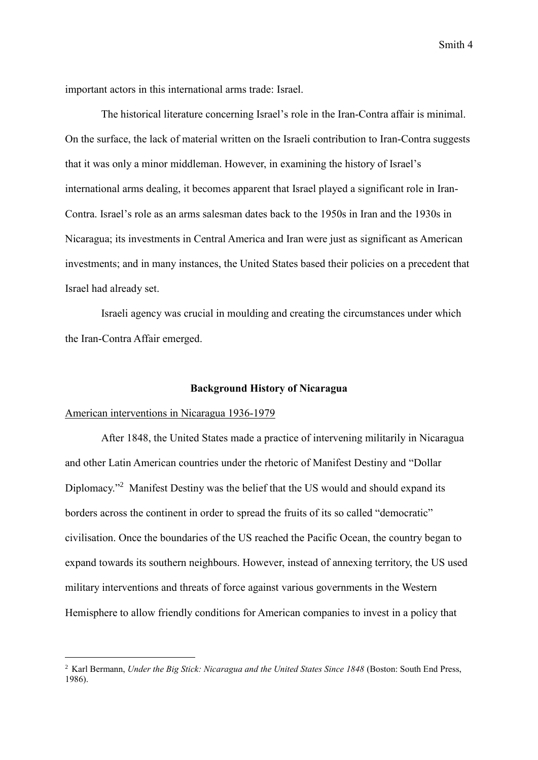important actors in this international arms trade: Israel.

The historical literature concerning Israel's role in the Iran-Contra affair is minimal. On the surface, the lack of material written on the Israeli contribution to Iran-Contra suggests that it was only a minor middleman. However, in examining the history of Israel's international arms dealing, it becomes apparent that Israel played a significant role in Iran-Contra. Israel's role as an arms salesman dates back to the 1950s in Iran and the 1930s in Nicaragua; its investments in Central America and Iran were just as significant as American investments; and in many instances, the United States based their policies on a precedent that Israel had already set.

Israeli agency was crucial in moulding and creating the circumstances under which the Iran-Contra Affair emerged.

#### **Background History of Nicaragua**

## American interventions in Nicaragua 1936-1979

-

After 1848, the United States made a practice of intervening militarily in Nicaragua and other Latin American countries under the rhetoric of Manifest Destiny and "Dollar Diplomacy.<sup>22</sup> Manifest Destiny was the belief that the US would and should expand its borders across the continent in order to spread the fruits of its so called "democratic" civilisation. Once the boundaries of the US reached the Pacific Ocean, the country began to expand towards its southern neighbours. However, instead of annexing territory, the US used military interventions and threats of force against various governments in the Western Hemisphere to allow friendly conditions for American companies to invest in a policy that

<sup>2</sup> Karl Bermann, *Under the Big Stick: Nicaragua and the United States Since 1848* (Boston: South End Press, 1986).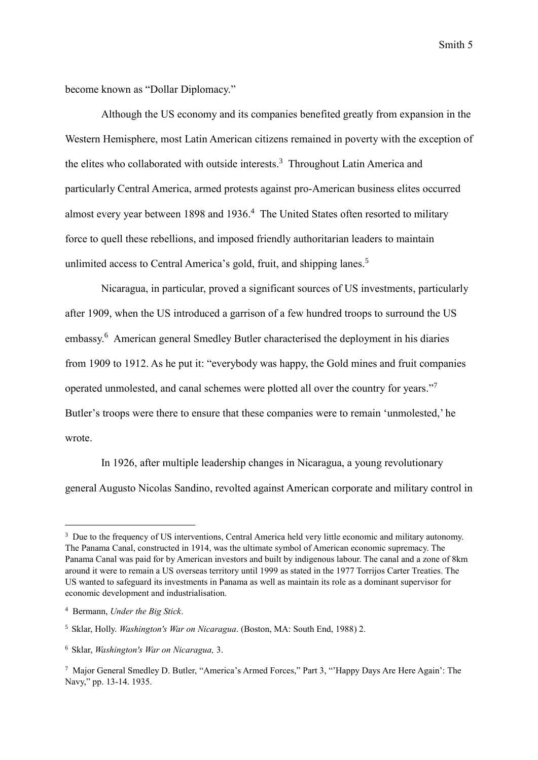become known as "Dollar Diplomacy."

Although the US economy and its companies benefited greatly from expansion in the Western Hemisphere, most Latin American citizens remained in poverty with the exception of the elites who collaborated with outside interests. <sup>3</sup> Throughout Latin America and particularly Central America, armed protests against pro-American business elites occurred almost every year between 1898 and 1936.<sup>4</sup> The United States often resorted to military force to quell these rebellions, and imposed friendly authoritarian leaders to maintain unlimited access to Central America's gold, fruit, and shipping lanes.<sup>5</sup>

Nicaragua, in particular, proved a significant sources of US investments, particularly after 1909, when the US introduced a garrison of a few hundred troops to surround the US embassy. <sup>6</sup> American general Smedley Butler characterised the deployment in his diaries from 1909 to 1912. As he put it: "everybody was happy, the Gold mines and fruit companies operated unmolested, and canal schemes were plotted all over the country for years."7 Butler's troops were there to ensure that these companies were to remain 'unmolested,' he wrote.

In 1926, after multiple leadership changes in Nicaragua, a young revolutionary general Augusto Nicolas Sandino, revolted against American corporate and military control in

<sup>&</sup>lt;sup>3</sup> Due to the frequency of US interventions, Central America held very little economic and military autonomy. The Panama Canal, constructed in 1914, was the ultimate symbol of American economic supremacy. The Panama Canal was paid for by American investors and built by indigenous labour. The canal and a zone of 8km around it were to remain a US overseas territory until 1999 as stated in the 1977 Torrijos Carter Treaties. The US wanted to safeguard its investments in Panama as well as maintain its role as a dominant supervisor for economic development and industrialisation.

<sup>4</sup> Bermann, *Under the Big Stick*.

<sup>5</sup> Sklar, Holly. *Washington's War on Nicaragua*. (Boston, MA: South End, 1988) 2.

<sup>6</sup> Sklar, *Washington's War on Nicaragua,* 3.

<sup>7</sup> Major General Smedley D. Butler, "America's Armed Forces," Part 3, "'Happy Days Are Here Again': The Navy," pp. 13-14. 1935.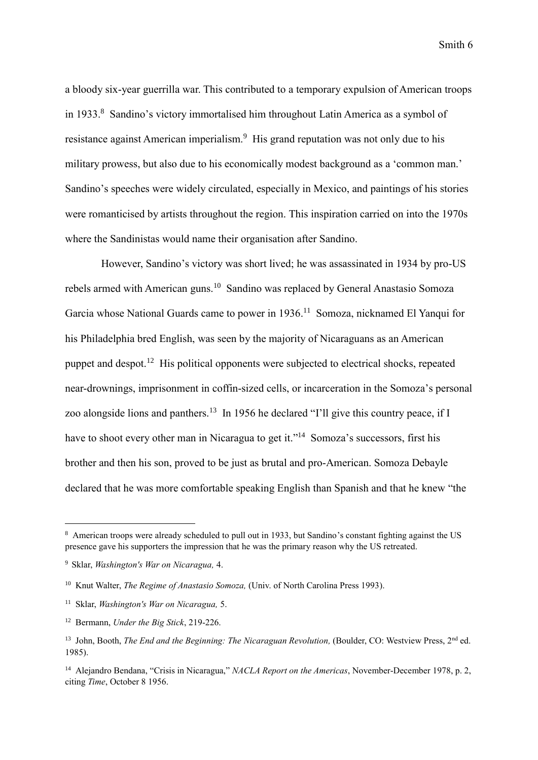a bloody six-year guerrilla war. This contributed to a temporary expulsion of American troops in 1933.<sup>8</sup> Sandino's victory immortalised him throughout Latin America as a symbol of resistance against American imperialism.<sup>9</sup> His grand reputation was not only due to his military prowess, but also due to his economically modest background as a 'common man.' Sandino's speeches were widely circulated, especially in Mexico, and paintings of his stories were romanticised by artists throughout the region. This inspiration carried on into the 1970s where the Sandinistas would name their organisation after Sandino.

However, Sandino's victory was short lived; he was assassinated in 1934 by pro-US rebels armed with American guns.<sup>10</sup> Sandino was replaced by General Anastasio Somoza Garcia whose National Guards came to power in 1936.<sup>11</sup> Somoza, nicknamed El Yanqui for his Philadelphia bred English, was seen by the majority of Nicaraguans as an American puppet and despot.<sup>12</sup> His political opponents were subjected to electrical shocks, repeated near-drownings, imprisonment in coffin-sized cells, or incarceration in the Somoza's personal zoo alongside lions and panthers.<sup>13</sup> In 1956 he declared "I'll give this country peace, if I have to shoot every other man in Nicaragua to get it."<sup>14</sup> Somoza's successors, first his brother and then his son, proved to be just as brutal and pro-American. Somoza Debayle declared that he was more comfortable speaking English than Spanish and that he knew "the

<sup>8</sup> American troops were already scheduled to pull out in 1933, but Sandino's constant fighting against the US presence gave his supporters the impression that he was the primary reason why the US retreated.

<sup>9</sup> Sklar, *Washington's War on Nicaragua,* 4.

<sup>10</sup> Knut Walter, *The Regime of Anastasio Somoza,* (Univ. of North Carolina Press 1993).

<sup>11</sup> Sklar, *Washington's War on Nicaragua,* 5.

<sup>12</sup> Bermann, *Under the Big Stick*, 219-226.

<sup>&</sup>lt;sup>13</sup> John, Booth, *The End and the Beginning: The Nicaraguan Revolution*, (Boulder, CO: Westview Press, 2<sup>nd</sup> ed. 1985).

<sup>14</sup> Alejandro Bendana, "Crisis in Nicaragua," *NACLA Report on the Americas*, November-December 1978, p. 2, citing *Time*, October 8 1956.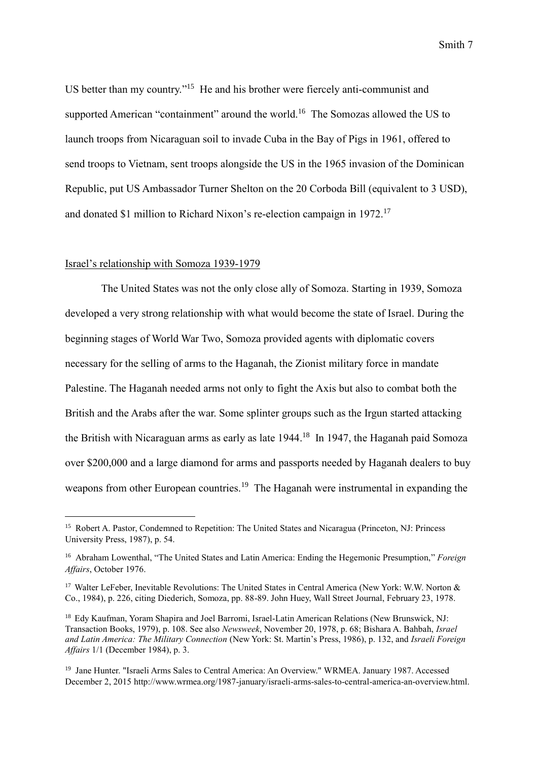US better than my country."<sup>15</sup> He and his brother were fiercely anti-communist and supported American "containment" around the world.<sup>16</sup> The Somozas allowed the US to launch troops from Nicaraguan soil to invade Cuba in the Bay of Pigs in 1961, offered to send troops to Vietnam, sent troops alongside the US in the 1965 invasion of the Dominican Republic, put US Ambassador Turner Shelton on the 20 Corboda Bill (equivalent to 3 USD), and donated \$1 million to Richard Nixon's re-election campaign in 1972.<sup>17</sup>

#### Israel's relationship with Somoza 1939-1979

-

The United States was not the only close ally of Somoza. Starting in 1939, Somoza developed a very strong relationship with what would become the state of Israel. During the beginning stages of World War Two, Somoza provided agents with diplomatic covers necessary for the selling of arms to the Haganah, the Zionist military force in mandate Palestine. The Haganah needed arms not only to fight the Axis but also to combat both the British and the Arabs after the war. Some splinter groups such as the Irgun started attacking the British with Nicaraguan arms as early as late 1944.<sup>18</sup> In 1947, the Haganah paid Somoza over \$200,000 and a large diamond for arms and passports needed by Haganah dealers to buy weapons from other European countries.<sup>19</sup> The Haganah were instrumental in expanding the

<sup>&</sup>lt;sup>15</sup> Robert A. Pastor, Condemned to Repetition: The United States and Nicaragua (Princeton, NJ: Princess University Press, 1987), p. 54.

<sup>16</sup> Abraham Lowenthal, "The United States and Latin America: Ending the Hegemonic Presumption," *Foreign Affairs*, October 1976.

<sup>&</sup>lt;sup>17</sup> Walter LeFeber, Inevitable Revolutions: The United States in Central America (New York: W.W. Norton & Co., 1984), p. 226, citing Diederich, Somoza, pp. 88-89. John Huey, Wall Street Journal, February 23, 1978.

<sup>&</sup>lt;sup>18</sup> Edy Kaufman, Yoram Shapira and Joel Barromi, Israel-Latin American Relations (New Brunswick, NJ: Transaction Books, 1979), p. 108. See also *Newsweek*, November 20, 1978, p. 68; Bishara A. Bahbah, *Israel and Latin America: The Military Connection* (New York: St. Martin's Press, 1986), p. 132, and *Israeli Foreign Affairs* 1/1 (December 1984), p. 3.

<sup>19</sup> Jane Hunter. "Israeli Arms Sales to Central America: An Overview." WRMEA. January 1987. Accessed December 2, 2015 http://www.wrmea.org/1987-january/israeli-arms-sales-to-central-america-an-overview.html.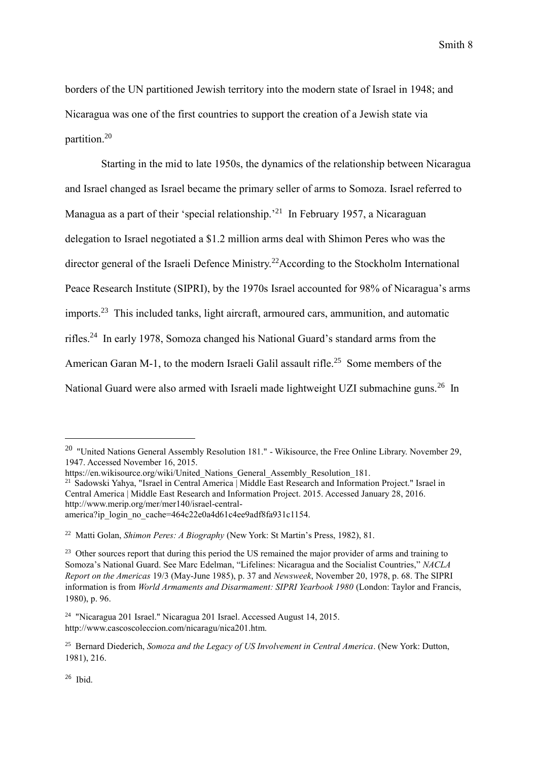borders of the UN partitioned Jewish territory into the modern state of Israel in 1948; and Nicaragua was one of the first countries to support the creation of a Jewish state via partition.<sup>20</sup>

Starting in the mid to late 1950s, the dynamics of the relationship between Nicaragua and Israel changed as Israel became the primary seller of arms to Somoza. Israel referred to Managua as a part of their 'special relationship.<sup>21</sup> In February 1957, a Nicaraguan delegation to Israel negotiated a \$1.2 million arms deal with Shimon Peres who was the director general of the Israeli Defence Ministry.<sup>22</sup>According to the Stockholm International Peace Research Institute (SIPRI), by the 1970s Israel accounted for 98% of Nicaragua's arms imports.<sup>23</sup> This included tanks, light aircraft, armoured cars, ammunition, and automatic rifles.<sup>24</sup> In early 1978, Somoza changed his National Guard's standard arms from the American Garan M-1, to the modern Israeli Galil assault rifle.<sup>25</sup> Some members of the National Guard were also armed with Israeli made lightweight UZI submachine guns.<sup>26</sup> In

<sup>&</sup>lt;sup>20</sup> "United Nations General Assembly Resolution 181." - Wikisource, the Free Online Library. November 29, 1947. Accessed November 16, 2015.

https://en.wikisource.org/wiki/United Nations General Assembly Resolution 181.

<sup>21</sup> Sadowski Yahya, "Israel in Central America | Middle East Research and Information Project." Israel in Central America | Middle East Research and Information Project. 2015. Accessed January 28, 2016. http://www.merip.org/mer/mer140/israel-centralamerica?ip\_login\_no\_cache=464c22e0a4d61c4ee9adf8fa931c1154.

<sup>22</sup> Matti Golan, *Shimon Peres: A Biography* (New York: St Martin's Press, 1982), 81.

<sup>&</sup>lt;sup>23</sup> Other sources report that during this period the US remained the major provider of arms and training to Somoza's National Guard. See Marc Edelman, "Lifelines: Nicaragua and the Socialist Countries," *NACLA Report on the Americas* 19/3 (May-June 1985), p. 37 and *Newsweek*, November 20, 1978, p. 68. The SIPRI information is from *World Armaments and Disarmament: SIPRI Yearbook 1980* (London: Taylor and Francis, 1980), p. 96.

<sup>24</sup> "Nicaragua 201 Israel." Nicaragua 201 Israel. Accessed August 14, 2015. http://www.cascoscoleccion.com/nicaragu/nica201.htm.

<sup>25</sup> Bernard Diederich, *Somoza and the Legacy of US Involvement in Central America*. (New York: Dutton, 1981), 216.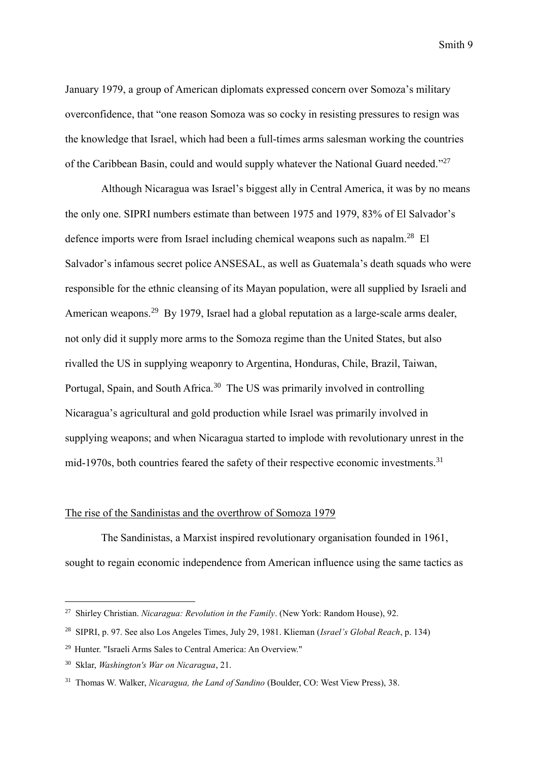January 1979, a group of American diplomats expressed concern over Somoza's military overconfidence, that "one reason Somoza was so cocky in resisting pressures to resign was the knowledge that Israel, which had been a full-times arms salesman working the countries of the Caribbean Basin, could and would supply whatever the National Guard needed."<sup>27</sup>

Although Nicaragua was Israel's biggest ally in Central America, it was by no means the only one. SIPRI numbers estimate than between 1975 and 1979, 83% of El Salvador's defence imports were from Israel including chemical weapons such as napalm.<sup>28</sup> El Salvador's infamous secret police ANSESAL, as well as Guatemala's death squads who were responsible for the ethnic cleansing of its Mayan population, were all supplied by Israeli and American weapons.<sup>29</sup> By 1979, Israel had a global reputation as a large-scale arms dealer, not only did it supply more arms to the Somoza regime than the United States, but also rivalled the US in supplying weaponry to Argentina, Honduras, Chile, Brazil, Taiwan, Portugal, Spain, and South Africa.<sup>30</sup> The US was primarily involved in controlling Nicaragua's agricultural and gold production while Israel was primarily involved in supplying weapons; and when Nicaragua started to implode with revolutionary unrest in the mid-1970s, both countries feared the safety of their respective economic investments.<sup>31</sup>

# The rise of the Sandinistas and the overthrow of Somoza 1979

The Sandinistas, a Marxist inspired revolutionary organisation founded in 1961, sought to regain economic independence from American influence using the same tactics as

<sup>27</sup> Shirley Christian. *Nicaragua: Revolution in the Family*. (New York: Random House), 92.

<sup>28</sup> SIPRI, p. 97. See also Los Angeles Times, July 29, 1981. Klieman (*Israel's Global Reach*, p. 134)

<sup>29</sup> Hunter. "Israeli Arms Sales to Central America: An Overview."

<sup>30</sup> Sklar, *Washington's War on Nicaragua*, 21.

<sup>31</sup> Thomas W. Walker, *Nicaragua, the Land of Sandino* (Boulder, CO: West View Press), 38.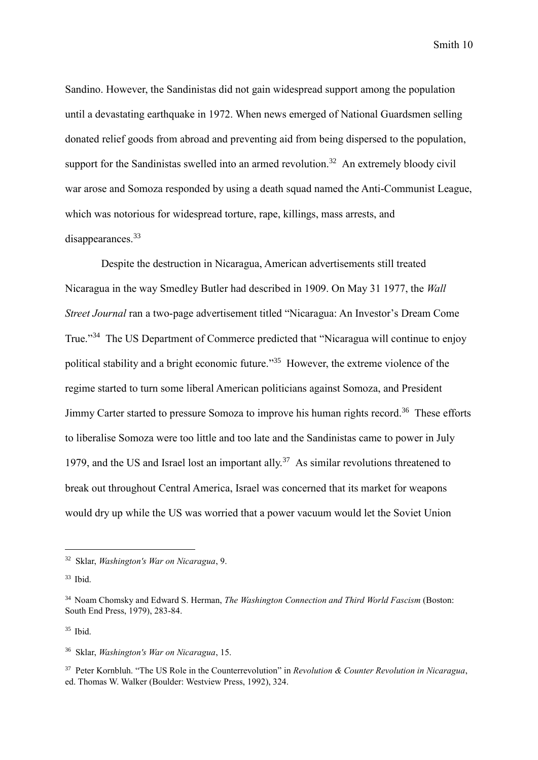Sandino. However, the Sandinistas did not gain widespread support among the population until a devastating earthquake in 1972. When news emerged of National Guardsmen selling donated relief goods from abroad and preventing aid from being dispersed to the population, support for the Sandinistas swelled into an armed revolution.<sup>32</sup> An extremely bloody civil war arose and Somoza responded by using a death squad named the Anti-Communist League, which was notorious for widespread torture, rape, killings, mass arrests, and disappearances.<sup>33</sup>

Despite the destruction in Nicaragua, American advertisements still treated Nicaragua in the way Smedley Butler had described in 1909. On May 31 1977, the *Wall Street Journal* ran a two-page advertisement titled "Nicaragua: An Investor's Dream Come True."<sup>34</sup> The US Department of Commerce predicted that "Nicaragua will continue to enjoy political stability and a bright economic future."<sup>35</sup> However, the extreme violence of the regime started to turn some liberal American politicians against Somoza, and President Jimmy Carter started to pressure Somoza to improve his human rights record.<sup>36</sup> These efforts to liberalise Somoza were too little and too late and the Sandinistas came to power in July 1979, and the US and Israel lost an important ally.<sup>37</sup> As similar revolutions threatened to break out throughout Central America, Israel was concerned that its market for weapons would dry up while the US was worried that a power vacuum would let the Soviet Union

<sup>32</sup> Sklar, *Washington's War on Nicaragua*, 9.

 $33$  Ibid.

<sup>34</sup> Noam Chomsky and Edward S. Herman, *The Washington Connection and Third World Fascism* (Boston: South End Press, 1979), 283-84.

 $35$  Ibid.

<sup>36</sup> Sklar, *Washington's War on Nicaragua*, 15.

<sup>37</sup> Peter Kornbluh. "The US Role in the Counterrevolution" in *Revolution & Counter Revolution in Nicaragua*, ed. Thomas W. Walker (Boulder: Westview Press, 1992), 324.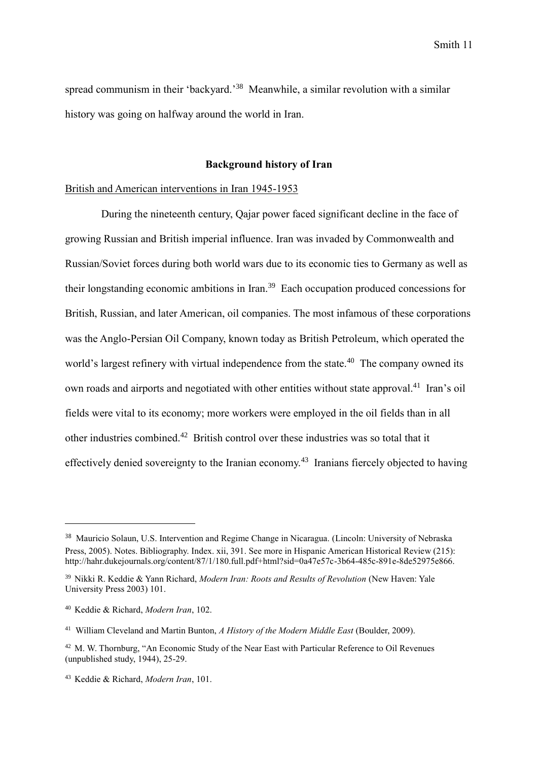spread communism in their 'backyard.'<sup>38</sup> Meanwhile, a similar revolution with a similar history was going on halfway around the world in Iran.

# **Background history of Iran**

## British and American interventions in Iran 1945-1953

During the nineteenth century, Qajar power faced significant decline in the face of growing Russian and British imperial influence. Iran was invaded by Commonwealth and Russian/Soviet forces during both world wars due to its economic ties to Germany as well as their longstanding economic ambitions in Iran. <sup>39</sup> Each occupation produced concessions for British, Russian, and later American, oil companies. The most infamous of these corporations was the Anglo-Persian Oil Company, known today as British Petroleum, which operated the world's largest refinery with virtual independence from the state.<sup>40</sup> The company owned its own roads and airports and negotiated with other entities without state approval.<sup>41</sup> Iran's oil fields were vital to its economy; more workers were employed in the oil fields than in all other industries combined.<sup>42</sup> British control over these industries was so total that it effectively denied sovereignty to the Iranian economy.<sup>43</sup> Iranians fiercely objected to having

<sup>38</sup> Mauricio Solaun, U.S. Intervention and Regime Change in Nicaragua. (Lincoln: University of Nebraska Press, 2005). Notes. Bibliography. Index. xii, 391. See more in Hispanic American Historical Review (215): http://hahr.dukejournals.org/content/87/1/180.full.pdf+html?sid=0a47e57c-3b64-485c-891e-8de52975e866.

<sup>39</sup> Nikki R. Keddie & Yann Richard, *Modern Iran: Roots and Results of Revolution* (New Haven: Yale University Press 2003) 101.

<sup>40</sup> Keddie & Richard, *Modern Iran*, 102.

<sup>41</sup> William Cleveland and Martin Bunton, *A History of the Modern Middle East* (Boulder, 2009).

<sup>42</sup> M. W. Thornburg, "An Economic Study of the Near East with Particular Reference to Oil Revenues (unpublished study, 1944), 25-29.

<sup>43</sup> Keddie & Richard, *Modern Iran*, 101.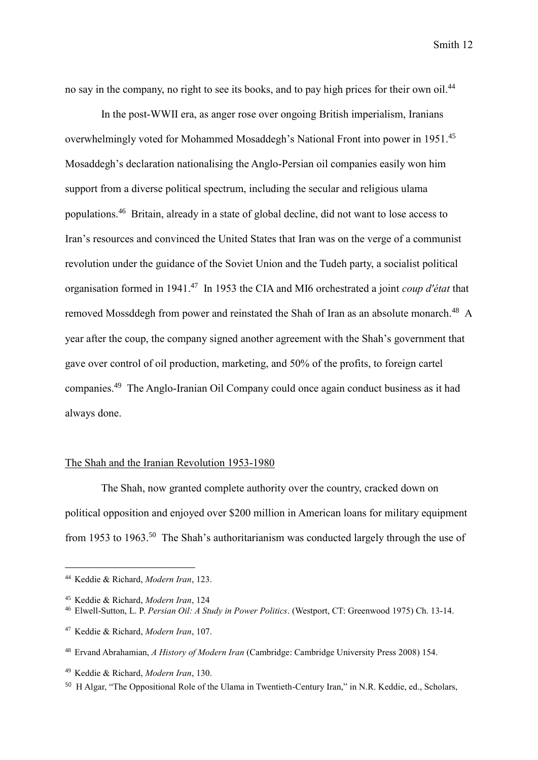no say in the company, no right to see its books, and to pay high prices for their own oil.<sup>44</sup>

In the post-WWII era, as anger rose over ongoing British imperialism, Iranians overwhelmingly voted for Mohammed Mosaddegh's National Front into power in 1951.<sup>45</sup> Mosaddegh's declaration nationalising the Anglo-Persian oil companies easily won him support from a diverse political spectrum, including the secular and religious ulama populations.<sup>46</sup> Britain, already in a state of global decline, did not want to lose access to Iran's resources and convinced the United States that Iran was on the verge of a communist revolution under the guidance of the Soviet Union and the Tudeh party, a socialist political organisation formed in 1941. <sup>47</sup> In 1953 the CIA and MI6 orchestrated a joint *coup d'état* that removed Mossddegh from power and reinstated the Shah of Iran as an absolute monarch.<sup>48</sup> A year after the coup, the company signed another agreement with the Shah's government that gave over control of oil production, marketing, and 50% of the profits, to foreign cartel companies.<sup>49</sup> The Anglo-Iranian Oil Company could once again conduct business as it had always done.

# The Shah and the Iranian Revolution 1953-1980

The Shah, now granted complete authority over the country, cracked down on political opposition and enjoyed over \$200 million in American loans for military equipment from 1953 to 1963.<sup>50</sup> The Shah's authoritarianism was conducted largely through the use of

<sup>44</sup> Keddie & Richard, *Modern Iran*, 123.

<sup>45</sup> Keddie & Richard, *Modern Iran*, 124

<sup>46</sup> Elwell-Sutton, L. P. *Persian Oil: A Study in Power Politics*. (Westport, CT: Greenwood 1975) Ch. 13-14.

<sup>47</sup> Keddie & Richard, *Modern Iran*, 107.

<sup>48</sup> Ervand Abrahamian, *A History of Modern Iran* (Cambridge: Cambridge University Press 2008) 154.

<sup>49</sup> Keddie & Richard, *Modern Iran*, 130.

<sup>50</sup> H Algar, "The Oppositional Role of the Ulama in Twentieth-Century Iran," in N.R. Keddie, ed., Scholars,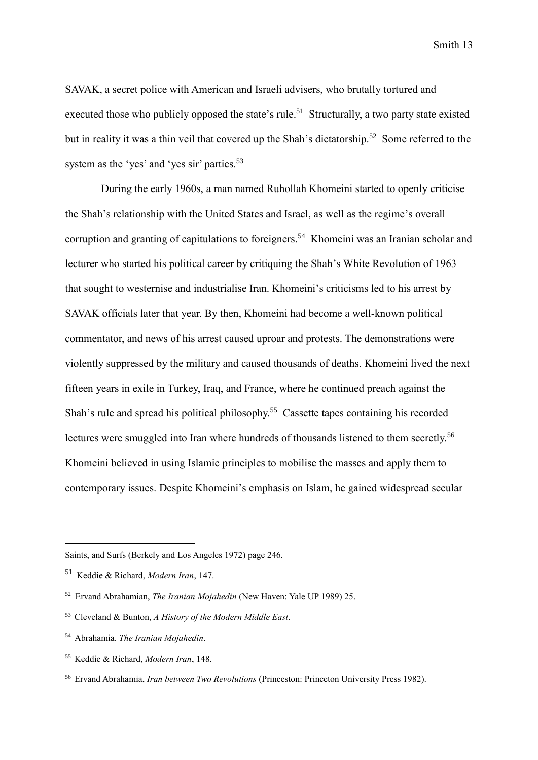SAVAK, a secret police with American and Israeli advisers, who brutally tortured and executed those who publicly opposed the state's rule.<sup>51</sup> Structurally, a two party state existed but in reality it was a thin veil that covered up the Shah's dictatorship.<sup>52</sup> Some referred to the system as the 'yes' and 'yes sir' parties.<sup>53</sup>

During the early 1960s, a man named Ruhollah Khomeini started to openly criticise the Shah's relationship with the United States and Israel, as well as the regime's overall corruption and granting of capitulations to foreigners.<sup>54</sup> Khomeini was an Iranian scholar and lecturer who started his political career by critiquing the Shah's White Revolution of 1963 that sought to westernise and industrialise Iran. Khomeini's criticisms led to his arrest by SAVAK officials later that year. By then, Khomeini had become a well-known political commentator, and news of his arrest caused uproar and protests. The demonstrations were violently suppressed by the military and caused thousands of deaths. Khomeini lived the next fifteen years in exile in Turkey, Iraq, and France, where he continued preach against the Shah's rule and spread his political philosophy.<sup>55</sup> Cassette tapes containing his recorded lectures were smuggled into Iran where hundreds of thousands listened to them secretly.<sup>56</sup> Khomeini believed in using Islamic principles to mobilise the masses and apply them to contemporary issues. Despite Khomeini's emphasis on Islam, he gained widespread secular

Saints, and Surfs (Berkely and Los Angeles 1972) page 246.

<sup>51</sup> Keddie & Richard, *Modern Iran*, 147.

<sup>52</sup> Ervand Abrahamian, *The Iranian Mojahedin* (New Haven: Yale UP 1989) 25.

<sup>53</sup> Cleveland & Bunton, *A History of the Modern Middle East*.

<sup>54</sup> Abrahamia. *The Iranian Mojahedin*.

<sup>55</sup> Keddie & Richard, *Modern Iran*, 148.

<sup>56</sup> Ervand Abrahamia, *Iran between Two Revolutions* (Princeston: Princeton University Press 1982).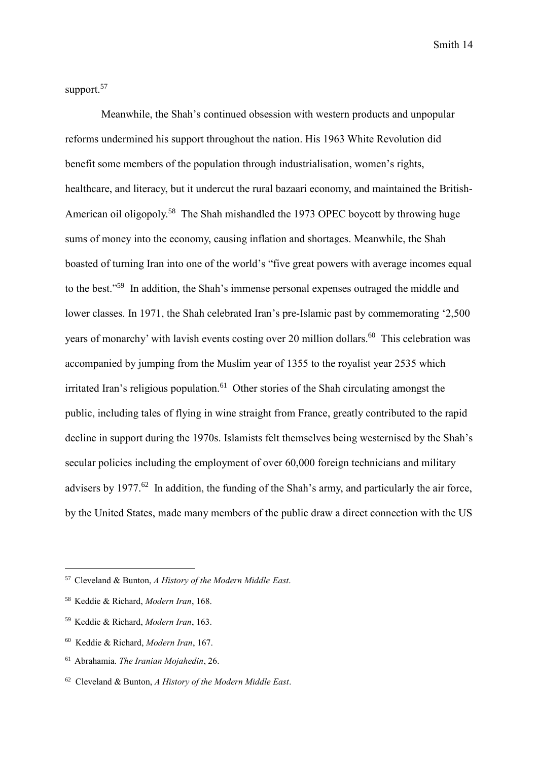support.<sup>57</sup>

Meanwhile, the Shah's continued obsession with western products and unpopular reforms undermined his support throughout the nation. His 1963 White Revolution did benefit some members of the population through industrialisation, women's rights, healthcare, and literacy, but it undercut the rural bazaari economy, and maintained the British-American oil oligopoly.<sup>58</sup> The Shah mishandled the 1973 OPEC boycott by throwing huge sums of money into the economy, causing inflation and shortages. Meanwhile, the Shah boasted of turning Iran into one of the world's "five great powers with average incomes equal to the best." <sup>59</sup> In addition, the Shah's immense personal expenses outraged the middle and lower classes. In 1971, the Shah celebrated Iran's pre-Islamic past by commemorating '2,500 years of monarchy' with lavish events costing over 20 million dollars.<sup>60</sup> This celebration was accompanied by jumping from the Muslim year of 1355 to the royalist year 2535 which irritated Iran's religious population.<sup>61</sup> Other stories of the Shah circulating amongst the public, including tales of flying in wine straight from France, greatly contributed to the rapid decline in support during the 1970s. Islamists felt themselves being westernised by the Shah's secular policies including the employment of over 60,000 foreign technicians and military advisers by 1977.<sup>62</sup> In addition, the funding of the Shah's army, and particularly the air force, by the United States, made many members of the public draw a direct connection with the US

<sup>57</sup> Cleveland & Bunton, *A History of the Modern Middle East*.

<sup>58</sup> Keddie & Richard, *Modern Iran*, 168.

<sup>59</sup> Keddie & Richard, *Modern Iran*, 163.

<sup>60</sup> Keddie & Richard, *Modern Iran*, 167.

<sup>61</sup> Abrahamia. *The Iranian Mojahedin*, 26.

<sup>62</sup> Cleveland & Bunton, *A History of the Modern Middle East*.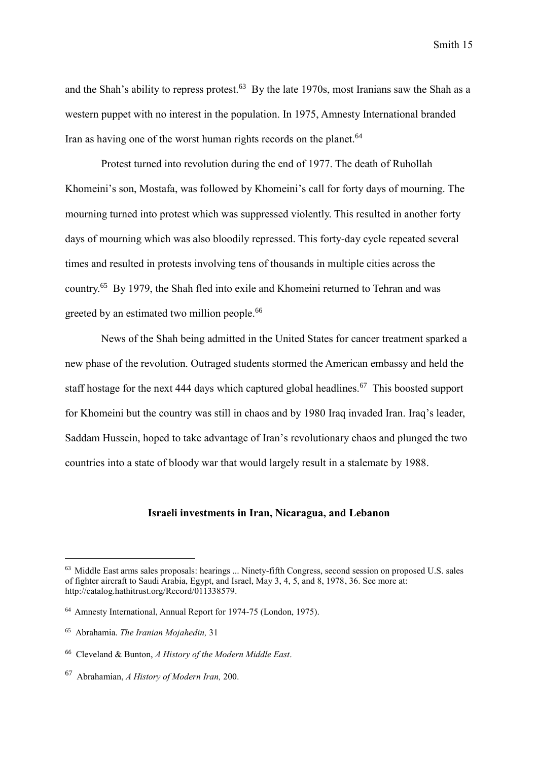and the Shah's ability to repress protest.<sup>63</sup> By the late 1970s, most Iranians saw the Shah as a western puppet with no interest in the population. In 1975, Amnesty International branded Iran as having one of the worst human rights records on the planet.<sup>64</sup>

Protest turned into revolution during the end of 1977. The death of Ruhollah Khomeini's son, Mostafa, was followed by Khomeini's call for forty days of mourning. The mourning turned into protest which was suppressed violently. This resulted in another forty days of mourning which was also bloodily repressed. This forty-day cycle repeated several times and resulted in protests involving tens of thousands in multiple cities across the country.<sup>65</sup> By 1979, the Shah fled into exile and Khomeini returned to Tehran and was greeted by an estimated two million people.<sup>66</sup>

News of the Shah being admitted in the United States for cancer treatment sparked a new phase of the revolution. Outraged students stormed the American embassy and held the staff hostage for the next 444 days which captured global headlines.<sup>67</sup> This boosted support for Khomeini but the country was still in chaos and by 1980 Iraq invaded Iran. Iraq's leader, Saddam Hussein, hoped to take advantage of Iran's revolutionary chaos and plunged the two countries into a state of bloody war that would largely result in a stalemate by 1988.

# **Israeli investments in Iran, Nicaragua, and Lebanon**

<sup>63</sup> Middle East arms sales proposals: hearings ... Ninety-fifth Congress, second session on proposed U.S. sales of fighter aircraft to Saudi Arabia, Egypt, and Israel, May 3, 4, 5, and 8, 1978, 36. See more at: http://catalog.hathitrust.org/Record/011338579.

<sup>64</sup> Amnesty International, Annual Report for 1974-75 (London, 1975).

<sup>65</sup> Abrahamia. *The Iranian Mojahedin,* 31

<sup>66</sup> Cleveland & Bunton, *A History of the Modern Middle East*.

<sup>67</sup> Abrahamian, *A History of Modern Iran,* 200.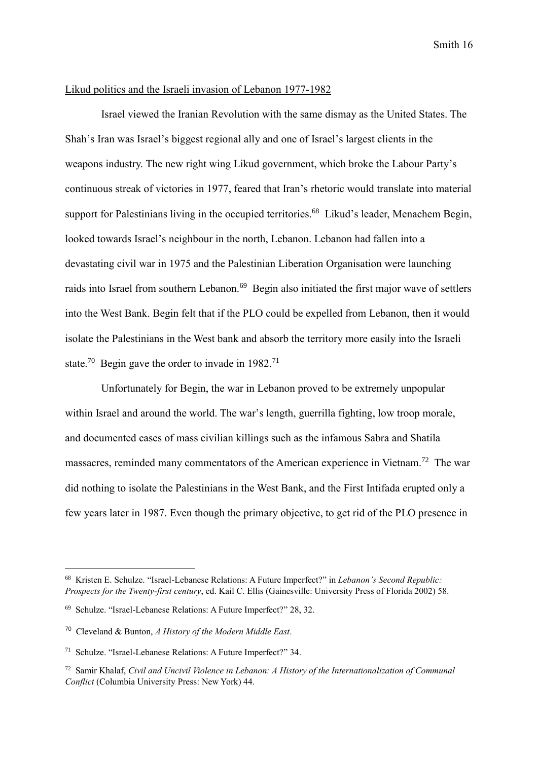#### Likud politics and the Israeli invasion of Lebanon 1977-1982

Israel viewed the Iranian Revolution with the same dismay as the United States. The Shah's Iran was Israel's biggest regional ally and one of Israel's largest clients in the weapons industry. The new right wing Likud government, which broke the Labour Party's continuous streak of victories in 1977, feared that Iran's rhetoric would translate into material support for Palestinians living in the occupied territories.<sup>68</sup> Likud's leader, Menachem Begin, looked towards Israel's neighbour in the north, Lebanon. Lebanon had fallen into a devastating civil war in 1975 and the Palestinian Liberation Organisation were launching raids into Israel from southern Lebanon.<sup>69</sup> Begin also initiated the first major wave of settlers into the West Bank. Begin felt that if the PLO could be expelled from Lebanon, then it would isolate the Palestinians in the West bank and absorb the territory more easily into the Israeli state.<sup>70</sup> Begin gave the order to invade in  $1982$ <sup>71</sup>

Unfortunately for Begin, the war in Lebanon proved to be extremely unpopular within Israel and around the world. The war's length, guerrilla fighting, low troop morale, and documented cases of mass civilian killings such as the infamous Sabra and Shatila massacres, reminded many commentators of the American experience in Vietnam.<sup>72</sup> The war did nothing to isolate the Palestinians in the West Bank, and the First Intifada erupted only a few years later in 1987. Even though the primary objective, to get rid of the PLO presence in

<sup>68</sup> Kristen E. Schulze. "Israel-Lebanese Relations: A Future Imperfect?" in *Lebanon's Second Republic: Prospects for the Twenty-first century*, ed. Kail C. Ellis (Gainesville: University Press of Florida 2002) 58.

<sup>69</sup> Schulze. "Israel-Lebanese Relations: A Future Imperfect?" 28, 32.

<sup>70</sup> Cleveland & Bunton, *A History of the Modern Middle East*.

<sup>71</sup> Schulze. "Israel-Lebanese Relations: A Future Imperfect?" 34.

<sup>72</sup> Samir Khalaf, *Civil and Uncivil Violence in Lebanon: A History of the Internationalization of Communal Conflict* (Columbia University Press: New York) 44.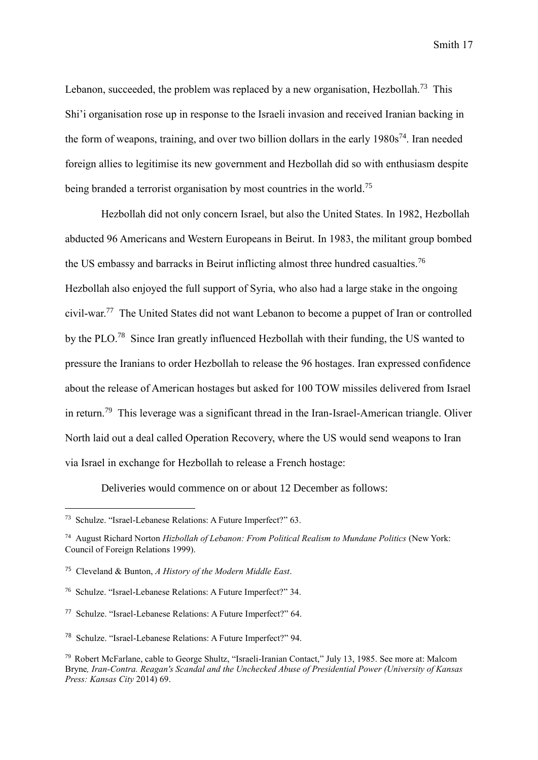Lebanon, succeeded, the problem was replaced by a new organisation. Hezbollah.<sup>73</sup> This Shi'i organisation rose up in response to the Israeli invasion and received Iranian backing in the form of weapons, training, and over two billion dollars in the early 1980s<sup>74</sup>. Iran needed foreign allies to legitimise its new government and Hezbollah did so with enthusiasm despite being branded a terrorist organisation by most countries in the world.<sup>75</sup>

Hezbollah did not only concern Israel, but also the United States. In 1982, Hezbollah abducted 96 Americans and Western Europeans in Beirut. In 1983, the militant group bombed the US embassy and barracks in Beirut inflicting almost three hundred casualties.<sup>76</sup> Hezbollah also enjoyed the full support of Syria, who also had a large stake in the ongoing civil-war.<sup>77</sup> The United States did not want Lebanon to become a puppet of Iran or controlled by the PLO.<sup>78</sup> Since Iran greatly influenced Hezbollah with their funding, the US wanted to pressure the Iranians to order Hezbollah to release the 96 hostages. Iran expressed confidence about the release of American hostages but asked for 100 TOW missiles delivered from Israel in return.<sup>79</sup> This leverage was a significant thread in the Iran-Israel-American triangle. Oliver North laid out a deal called Operation Recovery, where the US would send weapons to Iran via Israel in exchange for Hezbollah to release a French hostage:

Deliveries would commence on or about 12 December as follows:

<sup>73</sup> Schulze. "Israel-Lebanese Relations: A Future Imperfect?" 63.

<sup>74</sup> August Richard Norton *Hizbollah of Lebanon: From Political Realism to Mundane Politics* (New York: Council of Foreign Relations 1999).

<sup>75</sup> Cleveland & Bunton, *A History of the Modern Middle East*.

<sup>76</sup> Schulze. "Israel-Lebanese Relations: A Future Imperfect?" 34.

<sup>77</sup> Schulze. "Israel-Lebanese Relations: A Future Imperfect?" 64.

<sup>78</sup> Schulze. "Israel-Lebanese Relations: A Future Imperfect?" 94.

<sup>79</sup> Robert McFarlane, cable to George Shultz, "Israeli-Iranian Contact," July 13, 1985. See more at: Malcom Bryne*, Iran-Contra. Reagan's Scandal and the Unchecked Abuse of Presidential Power (University of Kansas Press: Kansas City* 2014) 69.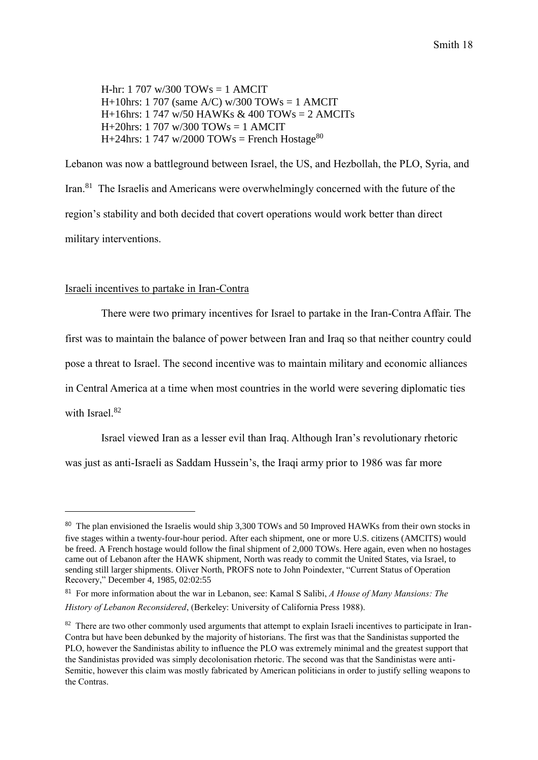$H-hr: 1707 \text{ w}/300 \text{ TOWs} = 1 \text{ AMC}$ H+10hrs: 1 707 (same A/C)  $w/300$  TOWs = 1 AMCIT H+16hrs: 1 747 w/50 HAWKs & 400 TOWs = 2 AMCITs  $H+20$ hrs: 1 707 w/300 TOWs = 1 AMCIT H+24hrs: 1 747 w/2000 TOWs = French Hostage<sup>80</sup>

Lebanon was now a battleground between Israel, the US, and Hezbollah, the PLO, Syria, and Iran.<sup>81</sup> The Israelis and Americans were overwhelmingly concerned with the future of the region's stability and both decided that covert operations would work better than direct military interventions.

## Israeli incentives to partake in Iran-Contra

-

There were two primary incentives for Israel to partake in the Iran-Contra Affair. The first was to maintain the balance of power between Iran and Iraq so that neither country could pose a threat to Israel. The second incentive was to maintain military and economic alliances in Central America at a time when most countries in the world were severing diplomatic ties with Israel<sup>82</sup>

Israel viewed Iran as a lesser evil than Iraq. Although Iran's revolutionary rhetoric was just as anti-Israeli as Saddam Hussein's, the Iraqi army prior to 1986 was far more

<sup>&</sup>lt;sup>80</sup> The plan envisioned the Israelis would ship 3,300 TOWs and 50 Improved HAWKs from their own stocks in five stages within a twenty-four-hour period. After each shipment, one or more U.S. citizens (AMCITS) would be freed. A French hostage would follow the final shipment of 2,000 TOWs. Here again, even when no hostages came out of Lebanon after the HAWK shipment, North was ready to commit the United States, via Israel, to sending still larger shipments. Oliver North, PROFS note to John Poindexter, "Current Status of Operation Recovery," December 4, 1985, 02:02:55

<sup>81</sup> For more information about the war in Lebanon, see: Kamal S Salibi, *A House of Many Mansions: The History of Lebanon Reconsidered*, (Berkeley: University of California Press 1988).

<sup>&</sup>lt;sup>82</sup> There are two other commonly used arguments that attempt to explain Israeli incentives to participate in Iran-Contra but have been debunked by the majority of historians. The first was that the Sandinistas supported the PLO, however the Sandinistas ability to influence the PLO was extremely minimal and the greatest support that the Sandinistas provided was simply decolonisation rhetoric. The second was that the Sandinistas were anti-Semitic, however this claim was mostly fabricated by American politicians in order to justify selling weapons to the Contras.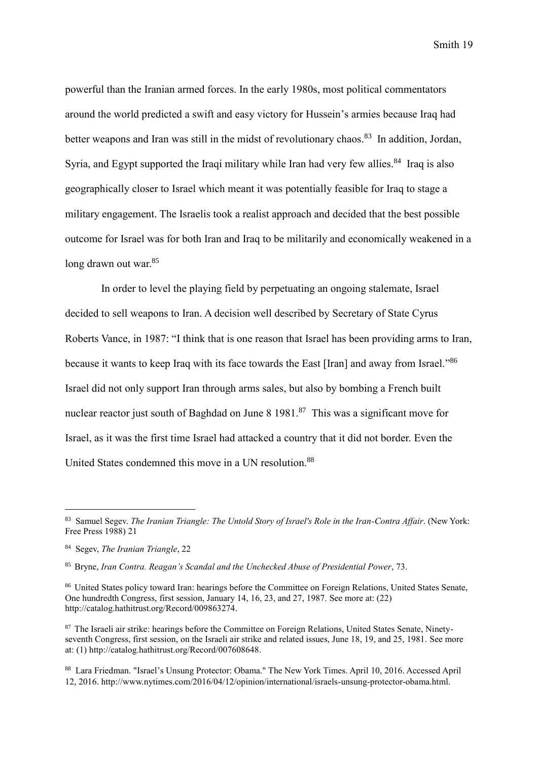powerful than the Iranian armed forces. In the early 1980s, most political commentators around the world predicted a swift and easy victory for Hussein's armies because Iraq had better weapons and Iran was still in the midst of revolutionary chaos.<sup>83</sup> In addition, Jordan, Syria, and Egypt supported the Iraqi military while Iran had very few allies.<sup>84</sup> Iraq is also geographically closer to Israel which meant it was potentially feasible for Iraq to stage a military engagement. The Israelis took a realist approach and decided that the best possible outcome for Israel was for both Iran and Iraq to be militarily and economically weakened in a long drawn out war.<sup>85</sup>

In order to level the playing field by perpetuating an ongoing stalemate, Israel decided to sell weapons to Iran. A decision well described by Secretary of State Cyrus Roberts Vance, in 1987: "I think that is one reason that Israel has been providing arms to Iran, because it wants to keep Iraq with its face towards the East [Iran] and away from Israel."<sup>86</sup> Israel did not only support Iran through arms sales, but also by bombing a French built nuclear reactor just south of Baghdad on June  $8\,1981$ .<sup>87</sup> This was a significant move for Israel, as it was the first time Israel had attacked a country that it did not border. Even the United States condemned this move in a UN resolution.<sup>88</sup>

<sup>83</sup> Samuel Segev. *The Iranian Triangle: The Untold Story of Israel's Role in the Iran-Contra Affair*. (New York: Free Press 1988) 21

<sup>84</sup> Segev, *The Iranian Triangle*, 22

<sup>85</sup> Bryne, *Iran Contra. Reagan's Scandal and the Unchecked Abuse of Presidential Power*, 73.

<sup>86</sup> United States policy toward Iran: hearings before the Committee on Foreign Relations, United States Senate, One hundredth Congress, first session, January 14, 16, 23, and 27, 1987. See more at: (22) http://catalog.hathitrust.org/Record/009863274.

<sup>&</sup>lt;sup>87</sup> The Israeli air strike: hearings before the Committee on Foreign Relations, United States Senate, Ninetyseventh Congress, first session, on the Israeli air strike and related issues, June 18, 19, and 25, 1981. See more at: (1) http://catalog.hathitrust.org/Record/007608648.

<sup>88</sup> Lara Friedman. "Israel's Unsung Protector: Obama." The New York Times. April 10, 2016. Accessed April 12, 2016. http://www.nytimes.com/2016/04/12/opinion/international/israels-unsung-protector-obama.html.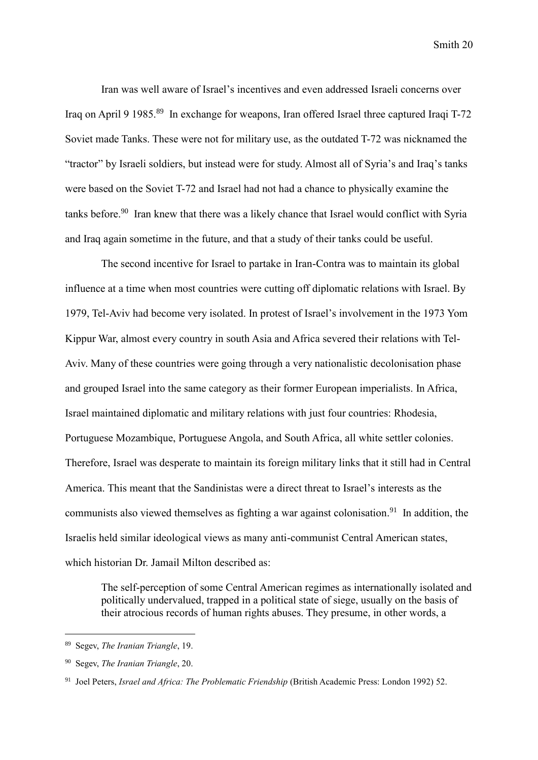Iran was well aware of Israel's incentives and even addressed Israeli concerns over Iraq on April 9 1985.<sup>89</sup> In exchange for weapons, Iran offered Israel three captured Iraqi T-72 Soviet made Tanks. These were not for military use, as the outdated T-72 was nicknamed the "tractor" by Israeli soldiers, but instead were for study. Almost all of Syria's and Iraq's tanks were based on the Soviet T-72 and Israel had not had a chance to physically examine the tanks before.<sup>90</sup> Iran knew that there was a likely chance that Israel would conflict with Syria and Iraq again sometime in the future, and that a study of their tanks could be useful.

The second incentive for Israel to partake in Iran-Contra was to maintain its global influence at a time when most countries were cutting off diplomatic relations with Israel. By 1979, Tel-Aviv had become very isolated. In protest of Israel's involvement in the 1973 Yom Kippur War, almost every country in south Asia and Africa severed their relations with Tel-Aviv. Many of these countries were going through a very nationalistic decolonisation phase and grouped Israel into the same category as their former European imperialists. In Africa, Israel maintained diplomatic and military relations with just four countries: Rhodesia, Portuguese Mozambique, Portuguese Angola, and South Africa, all white settler colonies. Therefore, Israel was desperate to maintain its foreign military links that it still had in Central America. This meant that the Sandinistas were a direct threat to Israel's interests as the communists also viewed themselves as fighting a war against colonisation.<sup>91</sup> In addition, the Israelis held similar ideological views as many anti-communist Central American states, which historian Dr. Jamail Milton described as:

The self-perception of some Central American regimes as internationally isolated and politically undervalued, trapped in a political state of siege, usually on the basis of their atrocious records of human rights abuses. They presume, in other words, a

<sup>89</sup> Segev, *The Iranian Triangle*, 19.

<sup>90</sup> Segev, *The Iranian Triangle*, 20.

<sup>91</sup> Joel Peters, *Israel and Africa: The Problematic Friendship* (British Academic Press: London 1992) 52.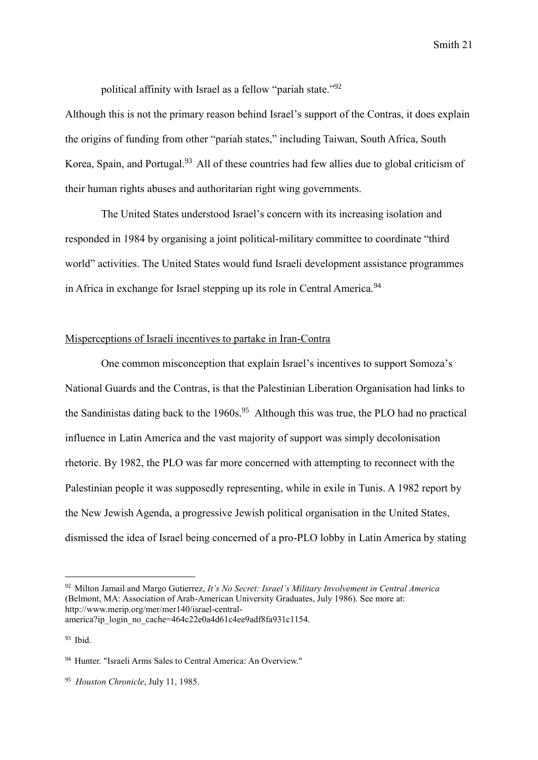political affinity with Israel as a fellow "pariah state."<sup>92</sup>

Although this is not the primary reason behind Israel's support of the Contras, it does explain the origins of funding from other "pariah states," including Taiwan, South Africa, South Korea, Spain, and Portugal.<sup>93</sup> All of these countries had few allies due to global criticism of their human rights abuses and authoritarian right wing governments.

The United States understood Israel's concern with its increasing isolation and responded in 1984 by organising a joint political-military committee to coordinate "third world" activities. The United States would fund Israeli development assistance programmes in Africa in exchange for Israel stepping up its role in Central America.<sup>94</sup>

# Misperceptions of Israeli incentives to partake in Iran-Contra

One common misconception that explain Israel's incentives to support Somoza's National Guards and the Contras, is that the Palestinian Liberation Organisation had links to the Sandinistas dating back to the 1960s.<sup>95</sup> Although this was true, the PLO had no practical influence in Latin America and the vast majority of support was simply decolonisation rhetoric. By 1982, the PLO was far more concerned with attempting to reconnect with the Palestinian people it was supposedly representing, while in exile in Tunis. A 1982 report by the New Jewish Agenda, a progressive Jewish political organisation in the United States, dismissed the idea of Israel being concerned of a pro-PLO lobby in Latin America by stating

<sup>92</sup> Milton Jamail and Margo Gutierrez, *It's No Secret: Israel's Military Involvement in Central America* (Belmont, MA: Association of Arab-American University Graduates, July 1986). See more at: http://www.merip.org/mer/mer140/israel-centralamerica?ip\_login\_no\_cache=464c22e0a4d61c4ee9adf8fa931c1154.

 $93$  Ibid.

<sup>94</sup> Hunter. "Israeli Arms Sales to Central America: An Overview."

<sup>95</sup> *Houston Chronicle*, July 11, 1985.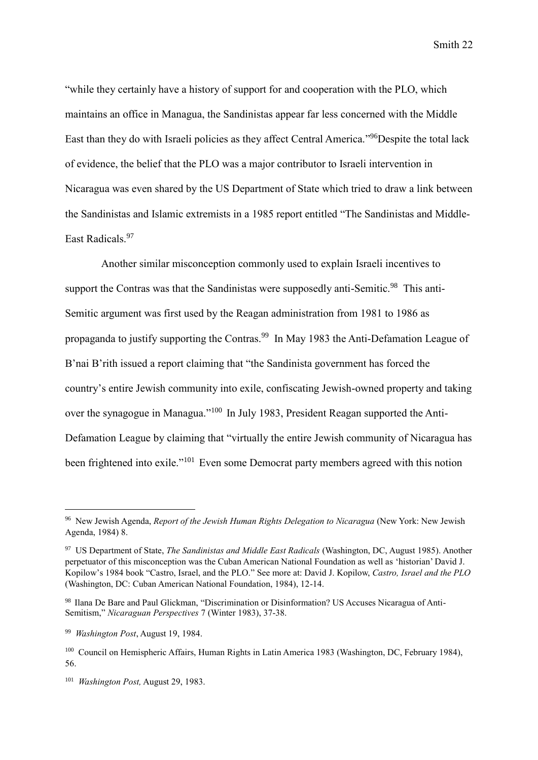"while they certainly have a history of support for and cooperation with the PLO, which maintains an office in Managua, the Sandinistas appear far less concerned with the Middle East than they do with Israeli policies as they affect Central America."<sup>96</sup>Despite the total lack of evidence, the belief that the PLO was a major contributor to Israeli intervention in Nicaragua was even shared by the US Department of State which tried to draw a link between the Sandinistas and Islamic extremists in a 1985 report entitled "The Sandinistas and Middle-East Radicals.<sup>97</sup>

Another similar misconception commonly used to explain Israeli incentives to support the Contras was that the Sandinistas were supposedly anti-Semitic.<sup>98</sup> This anti-Semitic argument was first used by the Reagan administration from 1981 to 1986 as propaganda to justify supporting the Contras.<sup>99</sup> In May 1983 the Anti-Defamation League of B'nai B'rith issued a report claiming that "the Sandinista government has forced the country's entire Jewish community into exile, confiscating Jewish-owned property and taking over the synagogue in Managua."<sup>100</sup> In July 1983, President Reagan supported the Anti-Defamation League by claiming that "virtually the entire Jewish community of Nicaragua has been frightened into exile."<sup>101</sup> Even some Democrat party members agreed with this notion

<sup>96</sup> New Jewish Agenda, *Report of the Jewish Human Rights Delegation to Nicaragua* (New York: New Jewish Agenda, 1984) 8.

<sup>97</sup> US Department of State, *The Sandinistas and Middle East Radicals* (Washington, DC, August 1985). Another perpetuator of this misconception was the Cuban American National Foundation as well as 'historian' David J. Kopilow's 1984 book "Castro, Israel, and the PLO." See more at: David J. Kopilow, *Castro, Israel and the PLO* (Washington, DC: Cuban American National Foundation, 1984), 12-14.

<sup>98</sup> Ilana De Bare and Paul Glickman, "Discrimination or Disinformation? US Accuses Nicaragua of Anti-Semitism," *Nicaraguan Perspectives* 7 (Winter 1983), 37-38.

<sup>99</sup> *Washington Post*, August 19, 1984.

<sup>100</sup> Council on Hemispheric Affairs, Human Rights in Latin America 1983 (Washington, DC, February 1984), 56.

<sup>101</sup> *Washington Post,* August 29, 1983.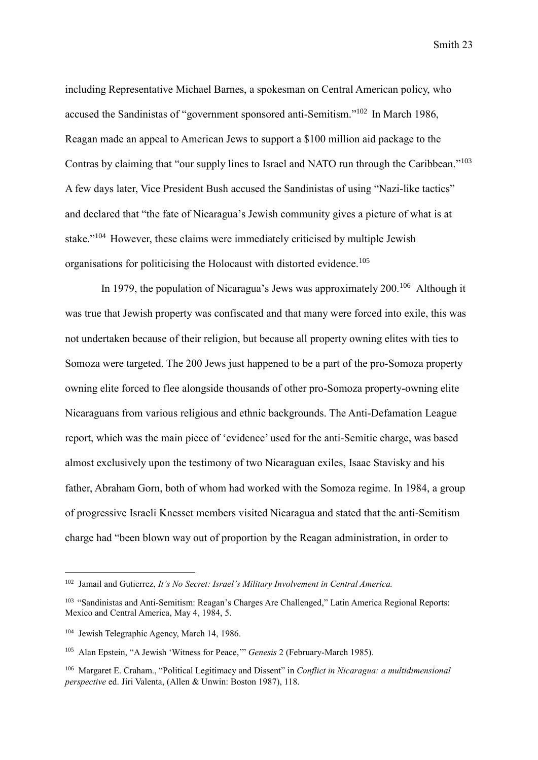including Representative Michael Barnes, a spokesman on Central American policy, who accused the Sandinistas of "government sponsored anti-Semitism." <sup>102</sup> In March 1986, Reagan made an appeal to American Jews to support a \$100 million aid package to the Contras by claiming that "our supply lines to Israel and NATO run through the Caribbean."<sup>103</sup> A few days later, Vice President Bush accused the Sandinistas of using "Nazi-like tactics" and declared that "the fate of Nicaragua's Jewish community gives a picture of what is at stake."<sup>104</sup> However, these claims were immediately criticised by multiple Jewish organisations for politicising the Holocaust with distorted evidence.<sup>105</sup>

In 1979, the population of Nicaragua's Jews was approximately 200.<sup>106</sup> Although it was true that Jewish property was confiscated and that many were forced into exile, this was not undertaken because of their religion, but because all property owning elites with ties to Somoza were targeted. The 200 Jews just happened to be a part of the pro-Somoza property owning elite forced to flee alongside thousands of other pro-Somoza property-owning elite Nicaraguans from various religious and ethnic backgrounds. The Anti-Defamation League report, which was the main piece of 'evidence' used for the anti-Semitic charge, was based almost exclusively upon the testimony of two Nicaraguan exiles, Isaac Stavisky and his father, Abraham Gorn, both of whom had worked with the Somoza regime. In 1984, a group of progressive Israeli Knesset members visited Nicaragua and stated that the anti-Semitism charge had "been blown way out of proportion by the Reagan administration, in order to

<sup>102</sup> Jamail and Gutierrez, *It's No Secret: Israel's Military Involvement in Central America.*

<sup>&</sup>lt;sup>103</sup> "Sandinistas and Anti-Semitism: Reagan's Charges Are Challenged," Latin America Regional Reports: Mexico and Central America, May 4, 1984, 5.

<sup>104</sup> Jewish Telegraphic Agency, March 14, 1986.

<sup>105</sup> Alan Epstein, "A Jewish 'Witness for Peace,'" *Genesis* 2 (February-March 1985).

<sup>106</sup> Margaret E. Craham., "Political Legitimacy and Dissent" in *Conflict in Nicaragua: a multidimensional perspective* ed. Jiri Valenta, (Allen & Unwin: Boston 1987), 118.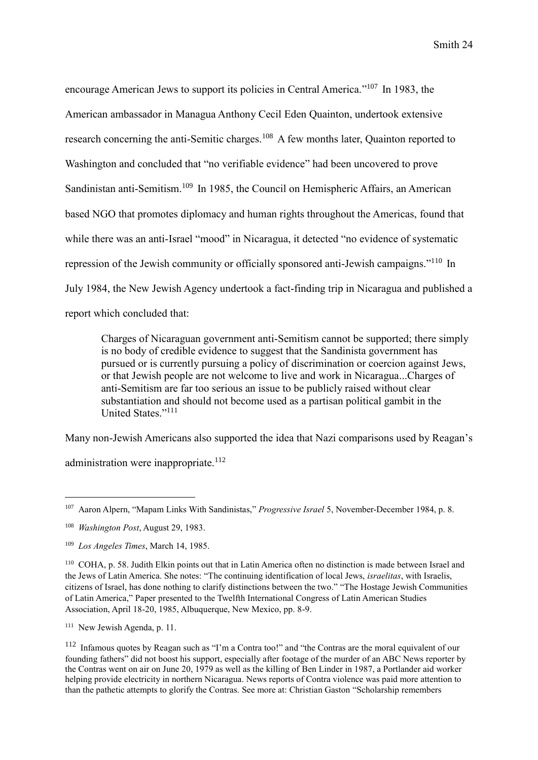encourage American Jews to support its policies in Central America."<sup>107</sup> In 1983, the American ambassador in Managua Anthony Cecil Eden Quainton, undertook extensive research concerning the anti-Semitic charges.<sup>108</sup> A few months later, Quainton reported to Washington and concluded that "no verifiable evidence" had been uncovered to prove Sandinistan anti-Semitism.<sup>109</sup> In 1985, the Council on Hemispheric Affairs, an American based NGO that promotes diplomacy and human rights throughout the Americas, found that while there was an anti-Israel "mood" in Nicaragua, it detected "no evidence of systematic repression of the Jewish community or officially sponsored anti-Jewish campaigns."<sup>110</sup> In July 1984, the New Jewish Agency undertook a fact-finding trip in Nicaragua and published a report which concluded that:

Charges of Nicaraguan government anti-Semitism cannot be supported; there simply is no body of credible evidence to suggest that the Sandinista government has pursued or is currently pursuing a policy of discrimination or coercion against Jews, or that Jewish people are not welcome to live and work in Nicaragua...Charges of anti-Semitism are far too serious an issue to be publicly raised without clear substantiation and should not become used as a partisan political gambit in the United States."<sup>111</sup>

Many non-Jewish Americans also supported the idea that Nazi comparisons used by Reagan's

administration were inappropriate. $112$ 

<sup>107</sup> Aaron Alpern, "Mapam Links With Sandinistas," *Progressive Israel* 5, November-December 1984, p. 8.

<sup>108</sup> *Washington Post*, August 29, 1983.

<sup>109</sup> *Los Angeles Times*, March 14, 1985.

<sup>110</sup> COHA, p. 58. Judith Elkin points out that in Latin America often no distinction is made between Israel and the Jews of Latin America. She notes: "The continuing identification of local Jews, *israelitas*, with Israelis, citizens of Israel, has done nothing to clarify distinctions between the two." "The Hostage Jewish Communities of Latin America," Paper presented to the Twelfth International Congress of Latin American Studies Association, April 18-20, 1985, Albuquerque, New Mexico, pp. 8-9.

<sup>111</sup> New Jewish Agenda, p. 11.

<sup>112</sup> Infamous quotes by Reagan such as "I'm a Contra too!" and "the Contras are the moral equivalent of our founding fathers" did not boost his support, especially after footage of the murder of an ABC News reporter by the Contras went on air on June 20, 1979 as well as the killing of Ben Linder in 1987, a Portlander aid worker helping provide electricity in northern Nicaragua. News reports of Contra violence was paid more attention to than the pathetic attempts to glorify the Contras. See more at: Christian Gaston "Scholarship remembers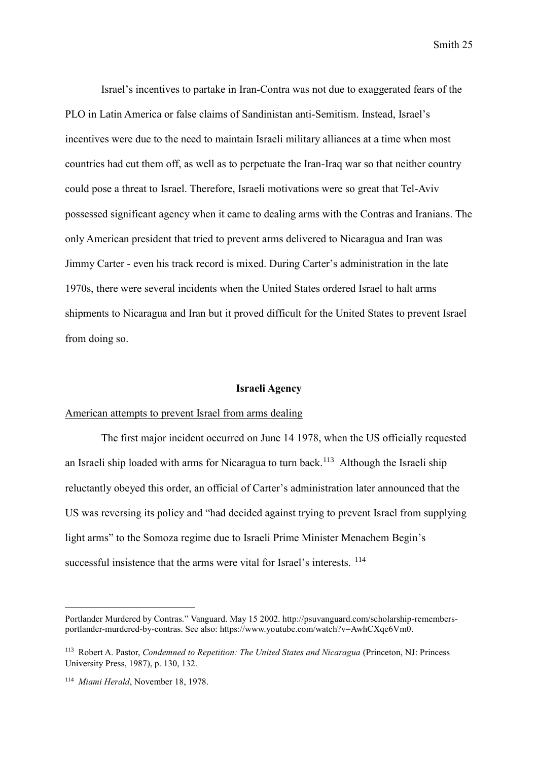Israel's incentives to partake in Iran-Contra was not due to exaggerated fears of the PLO in Latin America or false claims of Sandinistan anti-Semitism. Instead, Israel's incentives were due to the need to maintain Israeli military alliances at a time when most countries had cut them off, as well as to perpetuate the Iran-Iraq war so that neither country could pose a threat to Israel. Therefore, Israeli motivations were so great that Tel-Aviv possessed significant agency when it came to dealing arms with the Contras and Iranians. The only American president that tried to prevent arms delivered to Nicaragua and Iran was Jimmy Carter - even his track record is mixed. During Carter's administration in the late 1970s, there were several incidents when the United States ordered Israel to halt arms shipments to Nicaragua and Iran but it proved difficult for the United States to prevent Israel from doing so.

#### **Israeli Agency**

# American attempts to prevent Israel from arms dealing

The first major incident occurred on June 14 1978, when the US officially requested an Israeli ship loaded with arms for Nicaragua to turn back.<sup>113</sup> Although the Israeli ship reluctantly obeyed this order, an official of Carter's administration later announced that the US was reversing its policy and "had decided against trying to prevent Israel from supplying light arms" to the Somoza regime due to Israeli Prime Minister Menachem Begin's successful insistence that the arms were vital for Israel's interests. <sup>114</sup>

Portlander Murdered by Contras." Vanguard. May 15 2002. http://psuvanguard.com/scholarship-remembersportlander-murdered-by-contras. See also: https://www.youtube.com/watch?v=AwhCXqe6Vm0.

<sup>113</sup> Robert A. Pastor, *Condemned to Repetition: The United States and Nicaragua* (Princeton, NJ: Princess University Press, 1987), p. 130, 132.

<sup>114</sup> *Miami Herald*, November 18, 1978.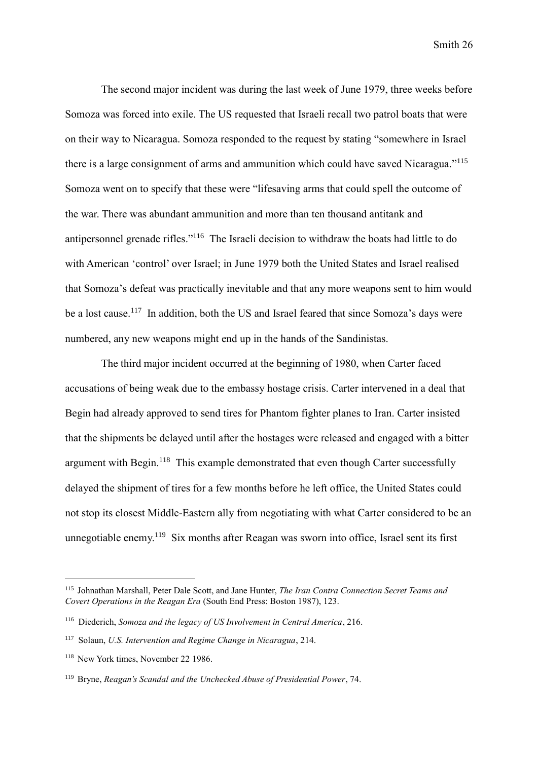The second major incident was during the last week of June 1979, three weeks before Somoza was forced into exile. The US requested that Israeli recall two patrol boats that were on their way to Nicaragua. Somoza responded to the request by stating "somewhere in Israel there is a large consignment of arms and ammunition which could have saved Nicaragua."<sup>115</sup> Somoza went on to specify that these were "lifesaving arms that could spell the outcome of the war. There was abundant ammunition and more than ten thousand antitank and antipersonnel grenade rifles."<sup>116</sup> The Israeli decision to withdraw the boats had little to do with American 'control' over Israel; in June 1979 both the United States and Israel realised that Somoza's defeat was practically inevitable and that any more weapons sent to him would be a lost cause.<sup>117</sup> In addition, both the US and Israel feared that since Somoza's days were numbered, any new weapons might end up in the hands of the Sandinistas.

The third major incident occurred at the beginning of 1980, when Carter faced accusations of being weak due to the embassy hostage crisis. Carter intervened in a deal that Begin had already approved to send tires for Phantom fighter planes to Iran. Carter insisted that the shipments be delayed until after the hostages were released and engaged with a bitter argument with Begin.<sup>118</sup> This example demonstrated that even though Carter successfully delayed the shipment of tires for a few months before he left office, the United States could not stop its closest Middle-Eastern ally from negotiating with what Carter considered to be an unnegotiable enemy.<sup>119</sup> Six months after Reagan was sworn into office, Israel sent its first

<sup>115</sup> Johnathan Marshall, Peter Dale Scott, and Jane Hunter, *The Iran Contra Connection Secret Teams and Covert Operations in the Reagan Era* (South End Press: Boston 1987), 123.

<sup>116</sup> Diederich, *Somoza and the legacy of US Involvement in Central America*, 216.

<sup>117</sup> Solaun, *U.S. Intervention and Regime Change in Nicaragua*, 214.

<sup>118</sup> New York times, November 22 1986.

<sup>119</sup> Bryne, *Reagan's Scandal and the Unchecked Abuse of Presidential Power*, 74.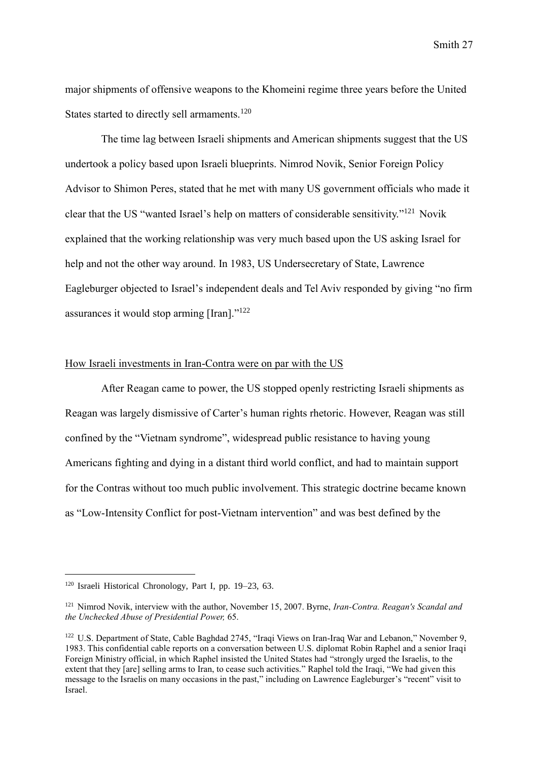major shipments of offensive weapons to the Khomeini regime three years before the United States started to directly sell armaments.<sup>120</sup>

The time lag between Israeli shipments and American shipments suggest that the US undertook a policy based upon Israeli blueprints. Nimrod Novik, Senior Foreign Policy Advisor to Shimon Peres, stated that he met with many US government officials who made it clear that the US "wanted Israel's help on matters of considerable sensitivity." <sup>121</sup> Novik explained that the working relationship was very much based upon the US asking Israel for help and not the other way around. In 1983, US Undersecretary of State, Lawrence Eagleburger objected to Israel's independent deals and Tel Aviv responded by giving "no firm assurances it would stop arming [Iran]."<sup>122</sup>

# How Israeli investments in Iran-Contra were on par with the US

After Reagan came to power, the US stopped openly restricting Israeli shipments as Reagan was largely dismissive of Carter's human rights rhetoric. However, Reagan was still confined by the "Vietnam syndrome", widespread public resistance to having young Americans fighting and dying in a distant third world conflict, and had to maintain support for the Contras without too much public involvement. This strategic doctrine became known as "Low-Intensity Conflict for post-Vietnam intervention" and was best defined by the

<sup>120</sup> Israeli Historical Chronology, Part I, pp. 19–23, 63.

<sup>121</sup> Nimrod Novik, interview with the author, November 15, 2007. Byrne, *Iran-Contra. Reagan's Scandal and the Unchecked Abuse of Presidential Power,* 65.

<sup>122</sup> U.S. Department of State, Cable Baghdad 2745, "Iraqi Views on Iran-Iraq War and Lebanon," November 9, 1983. This confidential cable reports on a conversation between U.S. diplomat Robin Raphel and a senior Iraqi Foreign Ministry official, in which Raphel insisted the United States had "strongly urged the Israelis, to the extent that they [are] selling arms to Iran, to cease such activities." Raphel told the Iraqi, "We had given this message to the Israelis on many occasions in the past," including on Lawrence Eagleburger's "recent" visit to Israel.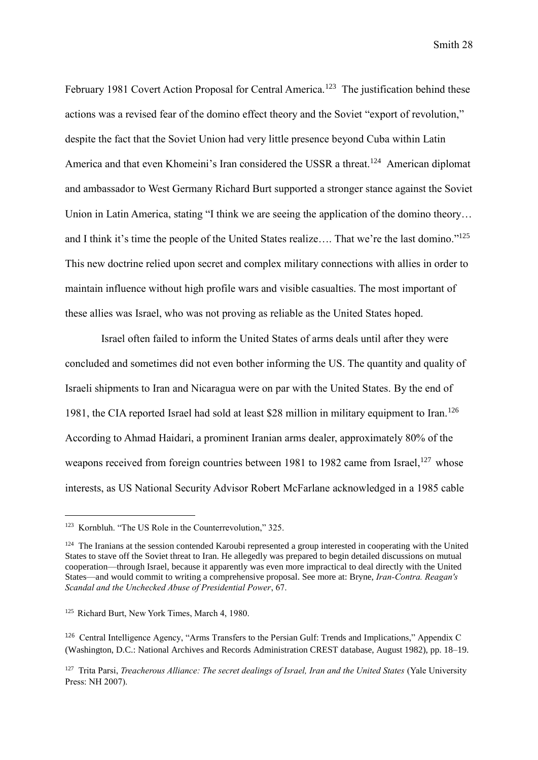February 1981 Covert Action Proposal for Central America.<sup>123</sup> The justification behind these actions was a revised fear of the domino effect theory and the Soviet "export of revolution," despite the fact that the Soviet Union had very little presence beyond Cuba within Latin America and that even Khomeini's Iran considered the USSR a threat.<sup>124</sup> American diplomat and ambassador to West Germany Richard Burt supported a stronger stance against the Soviet Union in Latin America, stating "I think we are seeing the application of the domino theory… and I think it's time the people of the United States realize.... That we're the last domino."<sup>125</sup> This new doctrine relied upon secret and complex military connections with allies in order to maintain influence without high profile wars and visible casualties. The most important of these allies was Israel, who was not proving as reliable as the United States hoped.

Israel often failed to inform the United States of arms deals until after they were concluded and sometimes did not even bother informing the US. The quantity and quality of Israeli shipments to Iran and Nicaragua were on par with the United States. By the end of 1981, the CIA reported Israel had sold at least \$28 million in military equipment to Iran.<sup>126</sup> According to Ahmad Haidari, a prominent Iranian arms dealer, approximately 80% of the weapons received from foreign countries between 1981 to 1982 came from Israel,<sup>127</sup> whose interests, as US National Security Advisor Robert McFarlane acknowledged in a 1985 cable

<sup>123</sup> Kornbluh. "The US Role in the Counterrevolution," 325.

<sup>&</sup>lt;sup>124</sup> The Iranians at the session contended Karoubi represented a group interested in cooperating with the United States to stave off the Soviet threat to Iran. He allegedly was prepared to begin detailed discussions on mutual cooperation—through Israel, because it apparently was even more impractical to deal directly with the United States—and would commit to writing a comprehensive proposal. See more at: Bryne, *Iran-Contra. Reagan's Scandal and the Unchecked Abuse of Presidential Power*, 67.

<sup>125</sup> Richard Burt, New York Times, March 4, 1980.

<sup>126</sup> Central Intelligence Agency, "Arms Transfers to the Persian Gulf: Trends and Implications," Appendix C (Washington, D.C.: National Archives and Records Administration CREST database, August 1982), pp. 18–19.

<sup>127</sup> Trita Parsi, *Treacherous Alliance: The secret dealings of Israel, Iran and the United States* (Yale University Press: NH 2007).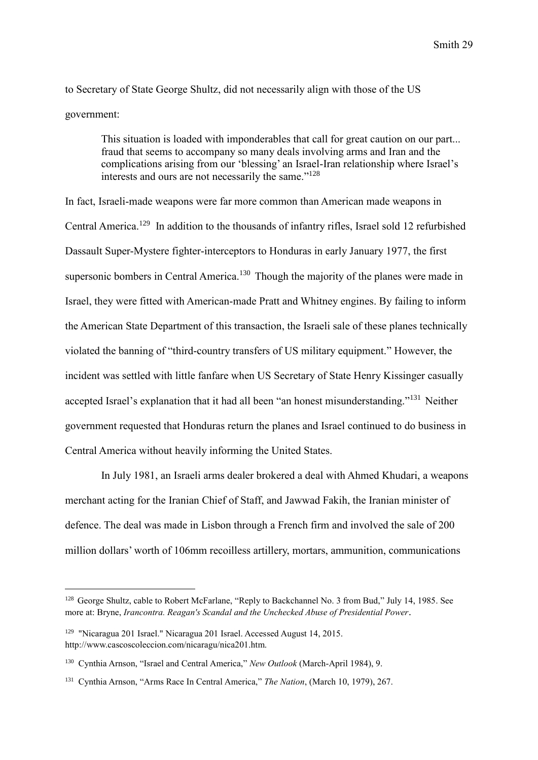to Secretary of State George Shultz, did not necessarily align with those of the US government:

> This situation is loaded with imponderables that call for great caution on our part... fraud that seems to accompany so many deals involving arms and Iran and the complications arising from our 'blessing' an Israel-Iran relationship where Israel's interests and ours are not necessarily the same." 128

In fact, Israeli-made weapons were far more common than American made weapons in Central America.<sup>129</sup> In addition to the thousands of infantry rifles, Israel sold 12 refurbished Dassault Super-Mystere fighter-interceptors to Honduras in early January 1977, the first supersonic bombers in Central America.<sup>130</sup> Though the majority of the planes were made in Israel, they were fitted with American-made Pratt and Whitney engines. By failing to inform the American State Department of this transaction, the Israeli sale of these planes technically violated the banning of "third-country transfers of US military equipment." However, the incident was settled with little fanfare when US Secretary of State Henry Kissinger casually accepted Israel's explanation that it had all been "an honest misunderstanding."<sup>131</sup> Neither government requested that Honduras return the planes and Israel continued to do business in Central America without heavily informing the United States.

In July 1981, an Israeli arms dealer brokered a deal with Ahmed Khudari, a weapons merchant acting for the Iranian Chief of Staff, and Jawwad Fakih, the Iranian minister of defence. The deal was made in Lisbon through a French firm and involved the sale of 200 million dollars' worth of 106mm recoilless artillery, mortars, ammunition, communications

<sup>128</sup> George Shultz, cable to Robert McFarlane, "Reply to Backchannel No. 3 from Bud," July 14, 1985. See more at: Bryne, *Irancontra. Reagan's Scandal and the Unchecked Abuse of Presidential Power*.

<sup>129</sup> "Nicaragua 201 Israel." Nicaragua 201 Israel. Accessed August 14, 2015. http://www.cascoscoleccion.com/nicaragu/nica201.htm.

<sup>130</sup> Cynthia Arnson, "Israel and Central America," *New Outlook* (March-April 1984), 9.

<sup>131</sup> Cynthia Arnson, "Arms Race In Central America," *The Nation*, (March 10, 1979), 267.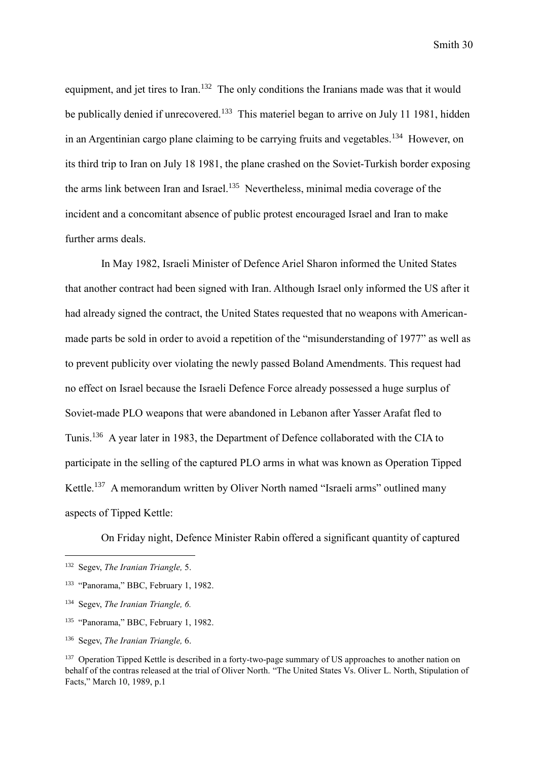equipment, and jet tires to Iran.<sup>132</sup> The only conditions the Iranians made was that it would be publically denied if unrecovered.<sup>133</sup> This materiel began to arrive on July 11 1981, hidden in an Argentinian cargo plane claiming to be carrying fruits and vegetables.<sup>134</sup> However, on its third trip to Iran on July 18 1981, the plane crashed on the Soviet-Turkish border exposing the arms link between Iran and Israel. <sup>135</sup> Nevertheless, minimal media coverage of the incident and a concomitant absence of public protest encouraged Israel and Iran to make further arms deals.

In May 1982, Israeli Minister of Defence Ariel Sharon informed the United States that another contract had been signed with Iran. Although Israel only informed the US after it had already signed the contract, the United States requested that no weapons with Americanmade parts be sold in order to avoid a repetition of the "misunderstanding of 1977" as well as to prevent publicity over violating the newly passed Boland Amendments. This request had no effect on Israel because the Israeli Defence Force already possessed a huge surplus of Soviet-made PLO weapons that were abandoned in Lebanon after Yasser Arafat fled to Tunis.<sup>136</sup> A year later in 1983, the Department of Defence collaborated with the CIA to participate in the selling of the captured PLO arms in what was known as Operation Tipped Kettle.<sup>137</sup> A memorandum written by Oliver North named "Israeli arms" outlined many aspects of Tipped Kettle:

On Friday night, Defence Minister Rabin offered a significant quantity of captured

- <sup>135</sup> "Panorama," BBC, February 1, 1982.
- <sup>136</sup> Segev, *The Iranian Triangle,* 6.

<sup>132</sup> Segev, *The Iranian Triangle,* 5.

<sup>&</sup>lt;sup>133</sup> "Panorama," BBC, February 1, 1982.

<sup>134</sup> Segev, *The Iranian Triangle, 6.*

<sup>&</sup>lt;sup>137</sup> Operation Tipped Kettle is described in a forty-two-page summary of US approaches to another nation on behalf of the contras released at the trial of Oliver North. "The United States Vs. Oliver L. North, Stipulation of Facts," March 10, 1989, p.1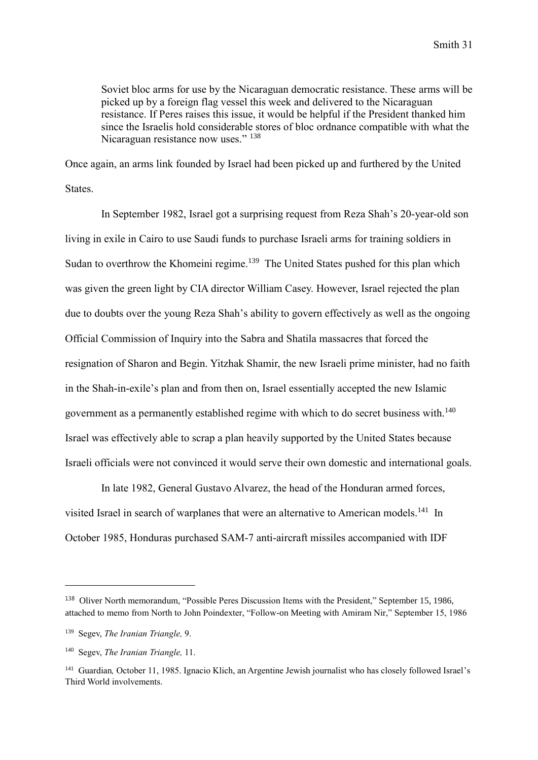Soviet bloc arms for use by the Nicaraguan democratic resistance. These arms will be picked up by a foreign flag vessel this week and delivered to the Nicaraguan resistance. If Peres raises this issue, it would be helpful if the President thanked him since the Israelis hold considerable stores of bloc ordnance compatible with what the Nicaraguan resistance now uses." <sup>138</sup>

Once again, an arms link founded by Israel had been picked up and furthered by the United States.

In September 1982, Israel got a surprising request from Reza Shah's 20-year-old son living in exile in Cairo to use Saudi funds to purchase Israeli arms for training soldiers in Sudan to overthrow the Khomeini regime.<sup>139</sup> The United States pushed for this plan which was given the green light by CIA director William Casey. However, Israel rejected the plan due to doubts over the young Reza Shah's ability to govern effectively as well as the ongoing Official Commission of Inquiry into the Sabra and Shatila massacres that forced the resignation of Sharon and Begin. Yitzhak Shamir, the new Israeli prime minister, had no faith in the Shah-in-exile's plan and from then on, Israel essentially accepted the new Islamic government as a permanently established regime with which to do secret business with.<sup>140</sup> Israel was effectively able to scrap a plan heavily supported by the United States because Israeli officials were not convinced it would serve their own domestic and international goals.

In late 1982, General Gustavo Alvarez, the head of the Honduran armed forces, visited Israel in search of warplanes that were an alternative to American models.<sup>141</sup> In October 1985, Honduras purchased SAM-7 anti-aircraft missiles accompanied with IDF

<sup>138</sup> Oliver North memorandum, "Possible Peres Discussion Items with the President," September 15, 1986, attached to memo from North to John Poindexter, "Follow-on Meeting with Amiram Nir," September 15, 1986

<sup>139</sup> Segev, *The Iranian Triangle,* 9.

<sup>140</sup> Segev, *The Iranian Triangle,* 11.

<sup>&</sup>lt;sup>141</sup> Guardian, October 11, 1985. Ignacio Klich, an Argentine Jewish journalist who has closely followed Israel's Third World involvements.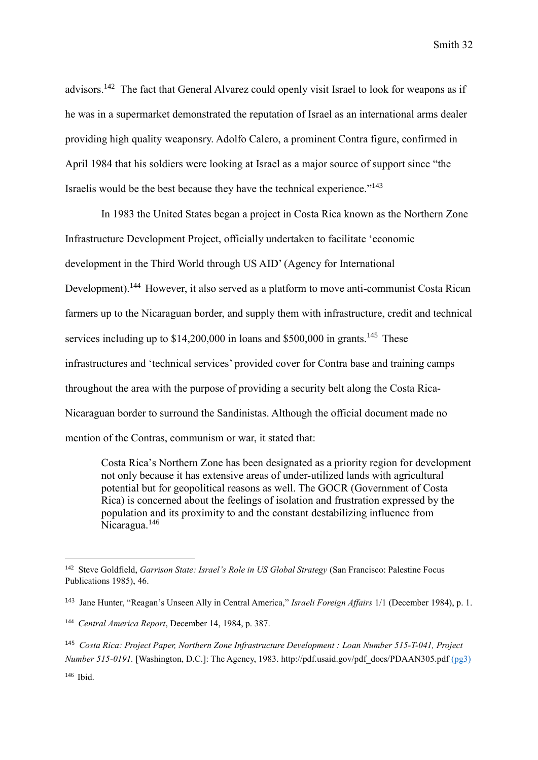advisors.<sup>142</sup> The fact that General Alvarez could openly visit Israel to look for weapons as if he was in a supermarket demonstrated the reputation of Israel as an international arms dealer providing high quality weaponsry. Adolfo Calero, a prominent Contra figure, confirmed in April 1984 that his soldiers were looking at Israel as a major source of support since "the Israelis would be the best because they have the technical experience."<sup>143</sup>

In 1983 the United States began a project in Costa Rica known as the Northern Zone Infrastructure Development Project, officially undertaken to facilitate 'economic development in the Third World through US AID' (Agency for International Development).<sup>144</sup> However, it also served as a platform to move anti-communist Costa Rican farmers up to the Nicaraguan border, and supply them with infrastructure, credit and technical services including up to  $$14,200,000$  in loans and  $$500,000$  in grants.<sup>145</sup> These infrastructures and 'technical services' provided cover for Contra base and training camps throughout the area with the purpose of providing a security belt along the Costa Rica-Nicaraguan border to surround the Sandinistas. Although the official document made no mention of the Contras, communism or war, it stated that:

Costa Rica's Northern Zone has been designated as a priority region for development not only because it has extensive areas of under-utilized lands with agricultural potential but for geopolitical reasons as well. The GOCR (Government of Costa Rica) is concerned about the feelings of isolation and frustration expressed by the population and its proximity to and the constant destabilizing influence from Nicaragua.<sup>146</sup>

<sup>142</sup> Steve Goldfield, *Garrison State: Israel's Role in US Global Strategy* (San Francisco: Palestine Focus Publications 1985), 46.

<sup>143</sup> Jane Hunter, "Reagan's Unseen Ally in Central America," *Israeli Foreign Affairs* 1/1 (December 1984), p. 1.

<sup>144</sup> *Central America Report*, December 14, 1984, p. 387.

<sup>145</sup> *Costa Rica: Project Paper, Northern Zone Infrastructure Development : Loan Number 515-T-041, Project Number 515-0191.* [Washington, D.C.]: The Agency, 1983. http://pdf.usaid.gov/pdf\_docs/PDAAN305.pdf (pg3)

<sup>146</sup> Ibid.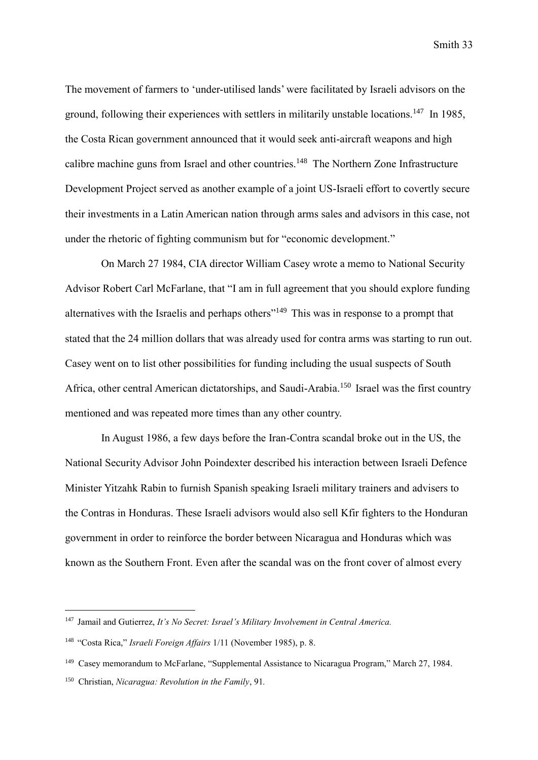The movement of farmers to 'under-utilised lands' were facilitated by Israeli advisors on the ground, following their experiences with settlers in militarily unstable locations.<sup>147</sup> In 1985, the Costa Rican government announced that it would seek anti-aircraft weapons and high calibre machine guns from Israel and other countries.<sup>148</sup> The Northern Zone Infrastructure Development Project served as another example of a joint US-Israeli effort to covertly secure their investments in a Latin American nation through arms sales and advisors in this case, not under the rhetoric of fighting communism but for "economic development."

On March 27 1984, CIA director William Casey wrote a memo to National Security Advisor Robert Carl McFarlane, that "I am in full agreement that you should explore funding alternatives with the Israelis and perhaps others<sup>"149</sup> This was in response to a prompt that stated that the 24 million dollars that was already used for contra arms was starting to run out. Casey went on to list other possibilities for funding including the usual suspects of South Africa, other central American dictatorships, and Saudi-Arabia.<sup>150</sup> Israel was the first country mentioned and was repeated more times than any other country.

In August 1986, a few days before the Iran-Contra scandal broke out in the US, the National Security Advisor John Poindexter described his interaction between Israeli Defence Minister Yitzahk Rabin to furnish Spanish speaking Israeli military trainers and advisers to the Contras in Honduras. These Israeli advisors would also sell Kfir fighters to the Honduran government in order to reinforce the border between Nicaragua and Honduras which was known as the Southern Front. Even after the scandal was on the front cover of almost every

<sup>147</sup> Jamail and Gutierrez, *It's No Secret: Israel's Military Involvement in Central America.*

<sup>&</sup>lt;sup>148</sup> "Costa Rica," *Israeli Foreign Affairs* 1/11 (November 1985), p. 8.

<sup>&</sup>lt;sup>149</sup> Casey memorandum to McFarlane, "Supplemental Assistance to Nicaragua Program," March 27, 1984.

<sup>150</sup> Christian, *Nicaragua: Revolution in the Family*, 91*.*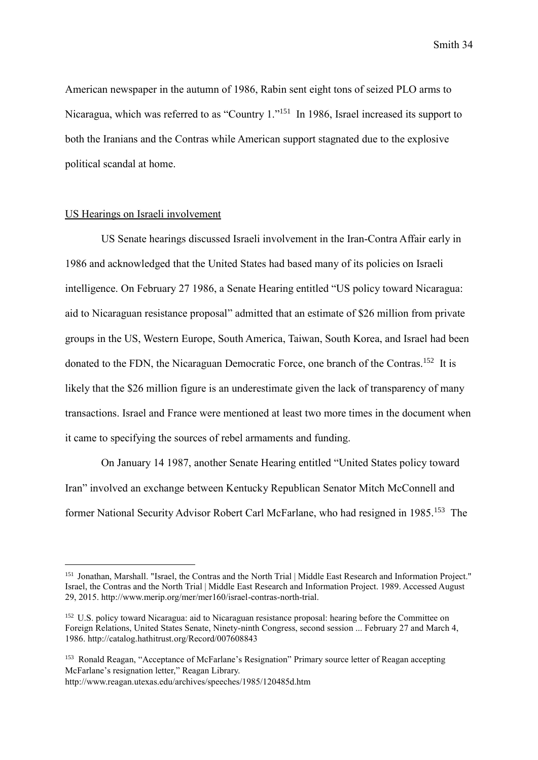American newspaper in the autumn of 1986, Rabin sent eight tons of seized PLO arms to Nicaragua, which was referred to as "Country 1."<sup>151</sup> In 1986, Israel increased its support to both the Iranians and the Contras while American support stagnated due to the explosive political scandal at home.

## US Hearings on Israeli involvement

US Senate hearings discussed Israeli involvement in the Iran-Contra Affair early in 1986 and acknowledged that the United States had based many of its policies on Israeli intelligence. On February 27 1986, a Senate Hearing entitled "US policy toward Nicaragua: aid to Nicaraguan resistance proposal" admitted that an estimate of \$26 million from private groups in the US, Western Europe, South America, Taiwan, South Korea, and Israel had been donated to the FDN, the Nicaraguan Democratic Force, one branch of the Contras.<sup>152</sup> It is likely that the \$26 million figure is an underestimate given the lack of transparency of many transactions. Israel and France were mentioned at least two more times in the document when it came to specifying the sources of rebel armaments and funding.

On January 14 1987, another Senate Hearing entitled "United States policy toward Iran" involved an exchange between Kentucky Republican Senator Mitch McConnell and former National Security Advisor Robert Carl McFarlane, who had resigned in 1985.<sup>153</sup> The

<sup>151</sup> Jonathan, Marshall. "Israel, the Contras and the North Trial | Middle East Research and Information Project." Israel, the Contras and the North Trial | Middle East Research and Information Project. 1989. Accessed August 29, 2015. http://www.merip.org/mer/mer160/israel-contras-north-trial.

<sup>&</sup>lt;sup>152</sup> U.S. policy toward Nicaragua: aid to Nicaraguan resistance proposal: hearing before the Committee on Foreign Relations, United States Senate, Ninety-ninth Congress, second session ... February 27 and March 4, 1986. http://catalog.hathitrust.org/Record/007608843

<sup>153</sup> Ronald Reagan, "Acceptance of McFarlane's Resignation" Primary source letter of Reagan accepting McFarlane's resignation letter," Reagan Library.

http://www.reagan.utexas.edu/archives/speeches/1985/120485d.htm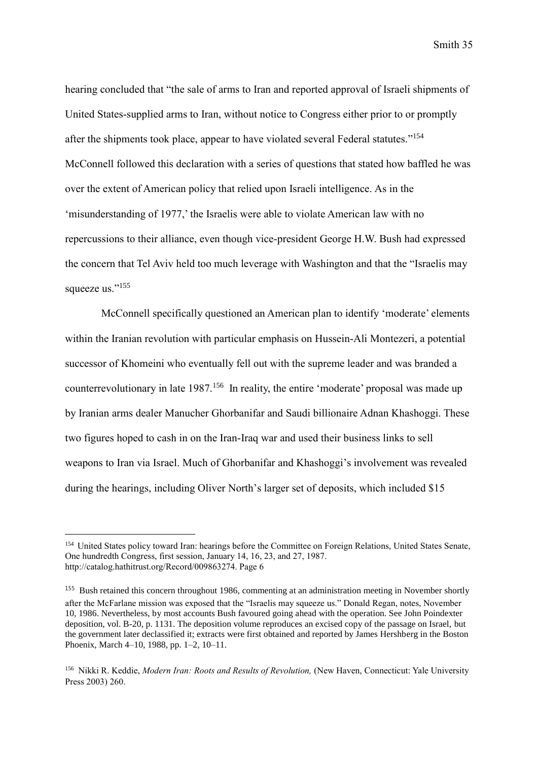hearing concluded that "the sale of arms to Iran and reported approval of Israeli shipments of United States-supplied arms to Iran, without notice to Congress either prior to or promptly after the shipments took place, appear to have violated several Federal statutes."<sup>154</sup> McConnell followed this declaration with a series of questions that stated how baffled he was over the extent of American policy that relied upon Israeli intelligence. As in the 'misunderstanding of 1977,' the Israelis were able to violate American law with no repercussions to their alliance, even though vice-president George H.W. Bush had expressed the concern that Tel Aviv held too much leverage with Washington and that the "Israelis may squeeze us."<sup>155</sup>

McConnell specifically questioned an American plan to identify 'moderate' elements within the Iranian revolution with particular emphasis on Hussein-Ali Montezeri, a potential successor of Khomeini who eventually fell out with the supreme leader and was branded a counterrevolutionary in late 1987.<sup>156</sup> In reality, the entire 'moderate' proposal was made up by Iranian arms dealer Manucher Ghorbanifar and Saudi billionaire Adnan Khashoggi. These two figures hoped to cash in on the Iran-Iraq war and used their business links to sell weapons to Iran via Israel. Much of Ghorbanifar and Khashoggi's involvement was revealed during the hearings, including Oliver North's larger set of deposits, which included \$15

<sup>154</sup> United States policy toward Iran: hearings before the Committee on Foreign Relations, United States Senate, One hundredth Congress, first session, January 14, 16, 23, and 27, 1987. http://catalog.hathitrust.org/Record/009863274. Page 6

<sup>155</sup> Bush retained this concern throughout 1986, commenting at an administration meeting in November shortly after the McFarlane mission was exposed that the "Israelis may squeeze us." Donald Regan, notes, November 10, 1986. Nevertheless, by most accounts Bush favoured going ahead with the operation. See John Poindexter deposition, vol. B-20, p. 1131. The deposition volume reproduces an excised copy of the passage on Israel, but the government later declassified it; extracts were first obtained and reported by James Hershberg in the Boston Phoenix, March 4–10, 1988, pp. 1–2, 10–11.

<sup>156</sup> [Nikki R.](https://en.wikipedia.org/wiki/Nikki_Keddie) Keddie, *Modern Iran: Roots and Results of Revolution,* (New Haven, Connecticut: Yale University Press 2003) 260.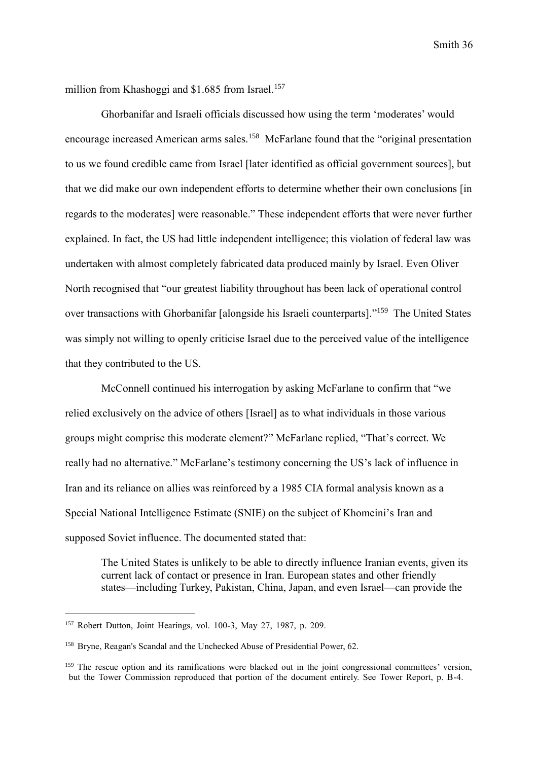million from Khashoggi and \$1.685 from Israel.<sup>157</sup>

Ghorbanifar and Israeli officials discussed how using the term 'moderates' would encourage increased American arms sales.<sup>158</sup> McFarlane found that the "original presentation to us we found credible came from Israel [later identified as official government sources], but that we did make our own independent efforts to determine whether their own conclusions [in regards to the moderates] were reasonable." These independent efforts that were never further explained. In fact, the US had little independent intelligence; this violation of federal law was undertaken with almost completely fabricated data produced mainly by Israel. Even Oliver North recognised that "our greatest liability throughout has been lack of operational control over transactions with Ghorbanifar [alongside his Israeli counterparts]."<sup>159</sup> The United States was simply not willing to openly criticise Israel due to the perceived value of the intelligence that they contributed to the US.

McConnell continued his interrogation by asking McFarlane to confirm that "we relied exclusively on the advice of others [Israel] as to what individuals in those various groups might comprise this moderate element?" McFarlane replied, "That's correct. We really had no alternative." McFarlane's testimony concerning the US's lack of influence in Iran and its reliance on allies was reinforced by a 1985 CIA formal analysis known as a Special National Intelligence Estimate (SNIE) on the subject of Khomeini's Iran and supposed Soviet influence. The documented stated that:

The United States is unlikely to be able to directly influence Iranian events, given its current lack of contact or presence in Iran. European states and other friendly states—including Turkey, Pakistan, China, Japan, and even Israel—can provide the

<sup>157</sup> Robert Dutton, Joint Hearings, vol. 100-3, May 27, 1987, p. 209.

<sup>158</sup> Bryne, Reagan's Scandal and the Unchecked Abuse of Presidential Power, 62.

<sup>&</sup>lt;sup>159</sup> The rescue option and its ramifications were blacked out in the joint congressional committees' version, but the Tower Commission reproduced that portion of the document entirely. See Tower Report, p. B-4.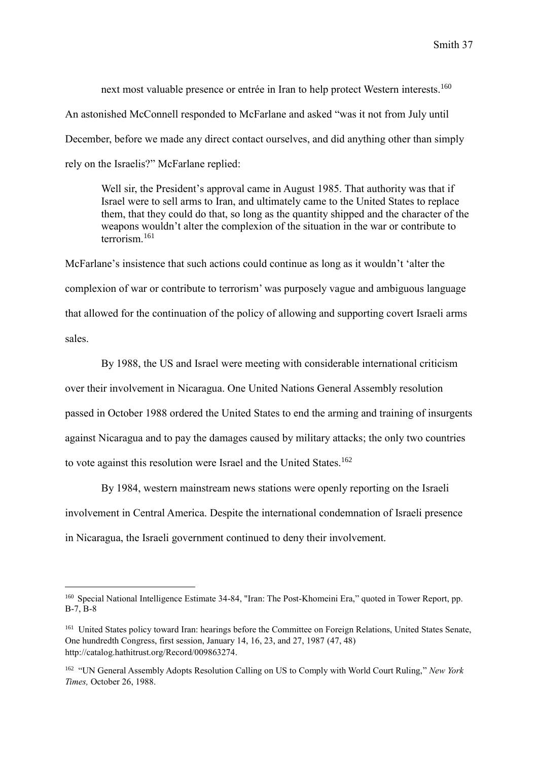next most valuable presence or entrée in Iran to help protect Western interests.<sup>160</sup> An astonished McConnell responded to McFarlane and asked "was it not from July until December, before we made any direct contact ourselves, and did anything other than simply rely on the Israelis?" McFarlane replied:

Well sir, the President's approval came in August 1985. That authority was that if Israel were to sell arms to Iran, and ultimately came to the United States to replace them, that they could do that, so long as the quantity shipped and the character of the weapons wouldn't alter the complexion of the situation in the war or contribute to terrorism<sup>161</sup>

McFarlane's insistence that such actions could continue as long as it wouldn't 'alter the complexion of war or contribute to terrorism' was purposely vague and ambiguous language that allowed for the continuation of the policy of allowing and supporting covert Israeli arms sales.

By 1988, the US and Israel were meeting with considerable international criticism over their involvement in Nicaragua. One United Nations General Assembly resolution passed in October 1988 ordered the United States to end the arming and training of insurgents against Nicaragua and to pay the damages caused by military attacks; the only two countries to vote against this resolution were Israel and the United States.<sup>162</sup>

By 1984, western mainstream news stations were openly reporting on the Israeli involvement in Central America. Despite the international condemnation of Israeli presence in Nicaragua, the Israeli government continued to deny their involvement.

<sup>160</sup> Special National Intelligence Estimate 34-84, "Iran: The Post-Khomeini Era," quoted in Tower Report, pp.  $B-7$   $B-8$ 

<sup>&</sup>lt;sup>161</sup> United States policy toward Iran: hearings before the Committee on Foreign Relations, United States Senate, One hundredth Congress, first session, January 14, 16, 23, and 27, 1987 (47, 48) [http://catalog.hathitrust.org/Record/009863274.](http://catalog.hathitrust.org/Record/009863274)

<sup>162</sup> "UN General Assembly Adopts Resolution Calling on US to Comply with World Court Ruling," *New York Times,* October 26, 1988.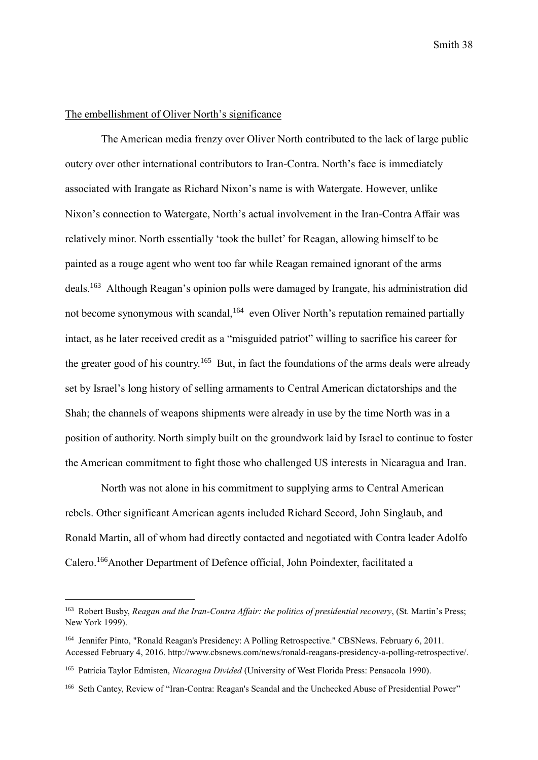## The embellishment of Oliver North's significance

The American media frenzy over Oliver North contributed to the lack of large public outcry over other international contributors to Iran-Contra. North's face is immediately associated with Irangate as Richard Nixon's name is with Watergate. However, unlike Nixon's connection to Watergate, North's actual involvement in the Iran-Contra Affair was relatively minor. North essentially 'took the bullet' for Reagan, allowing himself to be painted as a rouge agent who went too far while Reagan remained ignorant of the arms deals.<sup>163</sup> Although Reagan's opinion polls were damaged by Irangate, his administration did not become synonymous with scandal,<sup>164</sup> even Oliver North's reputation remained partially intact, as he later received credit as a "misguided patriot" willing to sacrifice his career for the greater good of his country.<sup>165</sup> But, in fact the foundations of the arms deals were already set by Israel's long history of selling armaments to Central American dictatorships and the Shah; the channels of weapons shipments were already in use by the time North was in a position of authority. North simply built on the groundwork laid by Israel to continue to foster the American commitment to fight those who challenged US interests in Nicaragua and Iran.

North was not alone in his commitment to supplying arms to Central American rebels. Other significant American agents included Richard Secord, John Singlaub, and Ronald Martin, all of whom had directly contacted and negotiated with Contra leader Adolfo Calero.<sup>166</sup>Another Department of Defence official, John Poindexter, facilitated a

<sup>163</sup> Robert Busby, *Reagan and the Iran-Contra Affair: the politics of presidential recovery*, (St. Martin's Press; New York 1999).

<sup>&</sup>lt;sup>164</sup> Jennifer Pinto, "Ronald Reagan's Presidency: A Polling Retrospective." CBSNews. February 6, 2011. Accessed February 4, 2016. http://www.cbsnews.com/news/ronald-reagans-presidency-a-polling-retrospective/.

<sup>165</sup> Patricia Taylor Edmisten, *Nicaragua Divided* (University of West Florida Press: Pensacola 1990).

<sup>166</sup> Seth Cantey, Review of "Iran-Contra: Reagan's Scandal and the Unchecked Abuse of Presidential Power"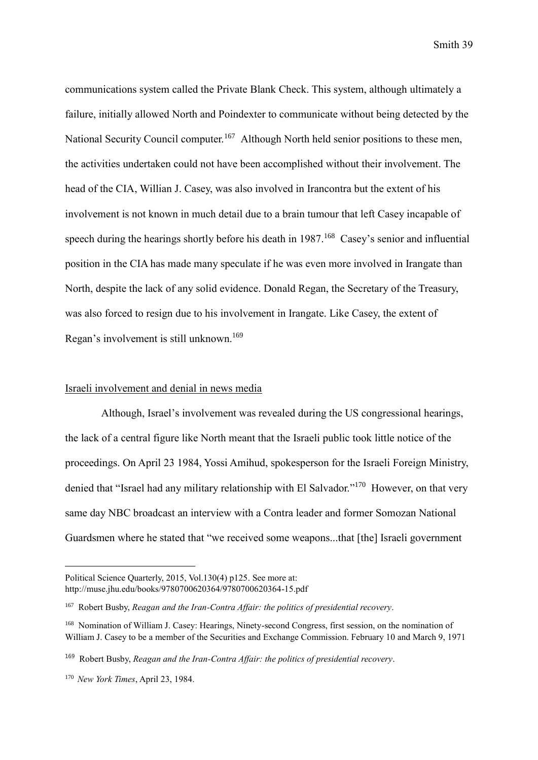communications system called the Private Blank Check. This system, although ultimately a failure, initially allowed North and Poindexter to communicate without being detected by the National Security Council computer.<sup>167</sup> Although North held senior positions to these men, the activities undertaken could not have been accomplished without their involvement. The head of the CIA, Willian J. Casey, was also involved in Irancontra but the extent of his involvement is not known in much detail due to a brain tumour that left Casey incapable of speech during the hearings shortly before his death in 1987.<sup>168</sup> Casey's senior and influential position in the CIA has made many speculate if he was even more involved in Irangate than North, despite the lack of any solid evidence. Donald Regan, the Secretary of the Treasury, was also forced to resign due to his involvement in Irangate. Like Casey, the extent of Regan's involvement is still unknown.<sup>169</sup>

### Israeli involvement and denial in news media

Although, Israel's involvement was revealed during the US congressional hearings, the lack of a central figure like North meant that the Israeli public took little notice of the proceedings. On April 23 1984, Yossi Amihud, spokesperson for the Israeli Foreign Ministry, denied that "Israel had any military relationship with El Salvador."<sup>170</sup> However, on that very same day NBC broadcast an interview with a Contra leader and former Somozan National Guardsmen where he stated that "we received some weapons...that [the] Israeli government

Political Science Quarterly, 2015, Vol.130(4) p125. See more at: http://muse.jhu.edu/books/9780700620364/9780700620364-15.pdf

<sup>167</sup> Robert Busby, *Reagan and the Iran-Contra Affair: the politics of presidential recovery*.

<sup>168</sup> Nomination of William J. Casey: Hearings, Ninety-second Congress, first session, on the nomination of William J. Casey to be a member of the Securities and Exchange Commission. February 10 and March 9, 1971

<sup>169</sup> Robert Busby, *Reagan and the Iran-Contra Affair: the politics of presidential recovery*.

<sup>170</sup> *New York Times*, April 23, 1984.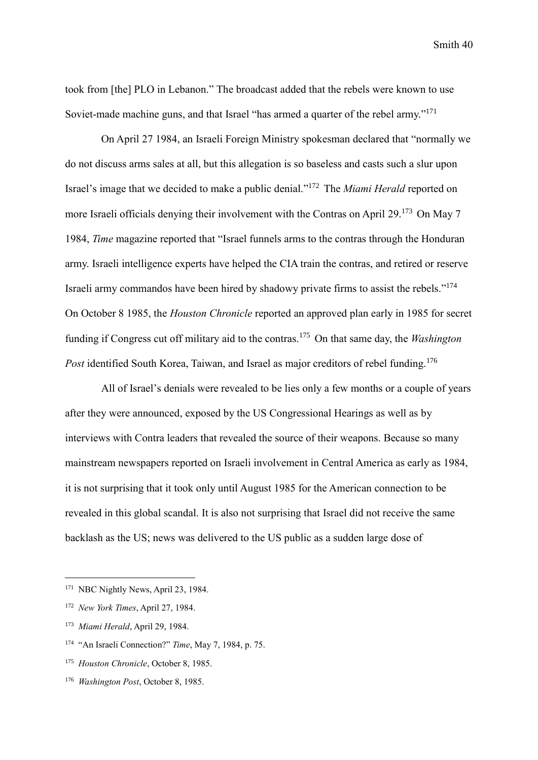took from [the] PLO in Lebanon." The broadcast added that the rebels were known to use Soviet-made machine guns, and that Israel "has armed a quarter of the rebel army."<sup>171</sup>

On April 27 1984, an Israeli Foreign Ministry spokesman declared that "normally we do not discuss arms sales at all, but this allegation is so baseless and casts such a slur upon Israel's image that we decided to make a public denial." <sup>172</sup> The *Miami Herald* reported on more Israeli officials denying their involvement with the Contras on April 29.<sup>173</sup> On May 7 1984, *Time* magazine reported that "Israel funnels arms to the contras through the Honduran army. Israeli intelligence experts have helped the CIA train the contras, and retired or reserve Israeli army commandos have been hired by shadowy private firms to assist the rebels." 174 On October 8 1985, the *Houston Chronicle* reported an approved plan early in 1985 for secret funding if Congress cut off military aid to the contras.<sup>175</sup> On that same day, the *Washington*  Post identified South Korea, Taiwan, and Israel as major creditors of rebel funding.<sup>176</sup>

All of Israel's denials were revealed to be lies only a few months or a couple of years after they were announced, exposed by the US Congressional Hearings as well as by interviews with Contra leaders that revealed the source of their weapons. Because so many mainstream newspapers reported on Israeli involvement in Central America as early as 1984, it is not surprising that it took only until August 1985 for the American connection to be revealed in this global scandal. It is also not surprising that Israel did not receive the same backlash as the US; news was delivered to the US public as a sudden large dose of

<sup>&</sup>lt;sup>171</sup> NBC Nightly News, April 23, 1984.

<sup>172</sup> *New York Times*, April 27, 1984.

<sup>173</sup> *Miami Herald*, April 29, 1984.

<sup>&</sup>lt;sup>174</sup> "An Israeli Connection?" *Time*, May 7, 1984, p. 75.

<sup>175</sup> *Houston Chronicle*, October 8, 1985.

<sup>176</sup> *Washington Post*, October 8, 1985.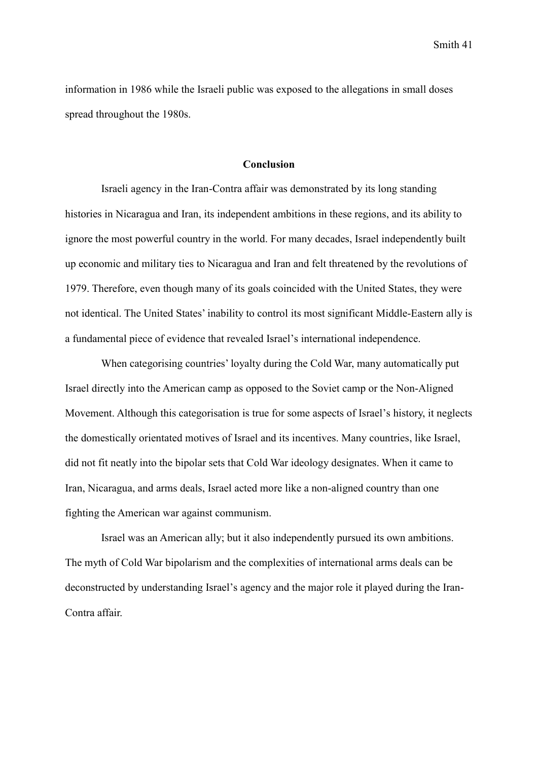information in 1986 while the Israeli public was exposed to the allegations in small doses spread throughout the 1980s.

# **Conclusion**

Israeli agency in the Iran-Contra affair was demonstrated by its long standing histories in Nicaragua and Iran, its independent ambitions in these regions, and its ability to ignore the most powerful country in the world. For many decades, Israel independently built up economic and military ties to Nicaragua and Iran and felt threatened by the revolutions of 1979. Therefore, even though many of its goals coincided with the United States, they were not identical. The United States' inability to control its most significant Middle-Eastern ally is a fundamental piece of evidence that revealed Israel's international independence.

When categorising countries' loyalty during the Cold War, many automatically put Israel directly into the American camp as opposed to the Soviet camp or the Non-Aligned Movement. Although this categorisation is true for some aspects of Israel's history, it neglects the domestically orientated motives of Israel and its incentives. Many countries, like Israel, did not fit neatly into the bipolar sets that Cold War ideology designates. When it came to Iran, Nicaragua, and arms deals, Israel acted more like a non-aligned country than one fighting the American war against communism.

Israel was an American ally; but it also independently pursued its own ambitions. The myth of Cold War bipolarism and the complexities of international arms deals can be deconstructed by understanding Israel's agency and the major role it played during the Iran-Contra affair.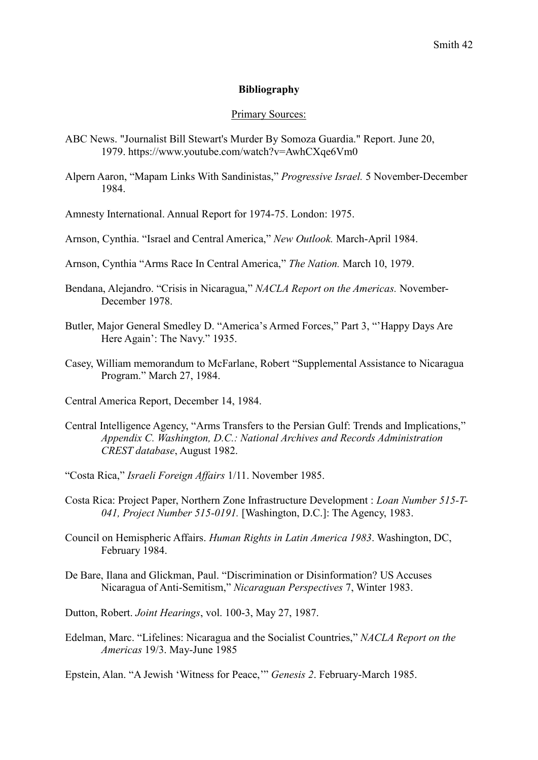#### **Bibliography**

#### Primary Sources:

- ABC News. "Journalist Bill Stewart's Murder By Somoza Guardia." Report. June 20, 1979. https://www.youtube.com/watch?v=AwhCXqe6Vm0
- Alpern Aaron, "Mapam Links With Sandinistas," *Progressive Israel.* 5 November-December 1984.
- Amnesty International. Annual Report for 1974-75. London: 1975.
- Arnson, Cynthia. "Israel and Central America," *New Outlook.* March-April 1984.
- Arnson, Cynthia "Arms Race In Central America," *The Nation.* March 10, 1979.
- Bendana, Alejandro. "Crisis in Nicaragua," *NACLA Report on the Americas.* November-December 1978.
- Butler, Major General Smedley D. "America's Armed Forces," Part 3, "'Happy Days Are Here Again': The Navy." 1935.
- Casey, William memorandum to McFarlane, Robert "Supplemental Assistance to Nicaragua Program." March 27, 1984.
- Central America Report, December 14, 1984.
- Central Intelligence Agency, "Arms Transfers to the Persian Gulf: Trends and Implications," *Appendix C. Washington, D.C.: National Archives and Records Administration CREST database*, August 1982.
- "Costa Rica," *Israeli Foreign Affairs* 1/11. November 1985.
- Costa Rica: Project Paper, Northern Zone Infrastructure Development : *Loan Number 515-T-041, Project Number 515-0191.* [Washington, D.C.]: The Agency, 1983.
- Council on Hemispheric Affairs. *Human Rights in Latin America 1983*. Washington, DC, February 1984.
- De Bare, Ilana and Glickman, Paul. "Discrimination or Disinformation? US Accuses Nicaragua of Anti-Semitism," *Nicaraguan Perspectives* 7, Winter 1983.
- Dutton, Robert. *Joint Hearings*, vol. 100-3, May 27, 1987.
- Edelman, Marc. "Lifelines: Nicaragua and the Socialist Countries," *NACLA Report on the Americas* 19/3. May-June 1985

Epstein, Alan. "A Jewish 'Witness for Peace,'" *Genesis 2*. February-March 1985.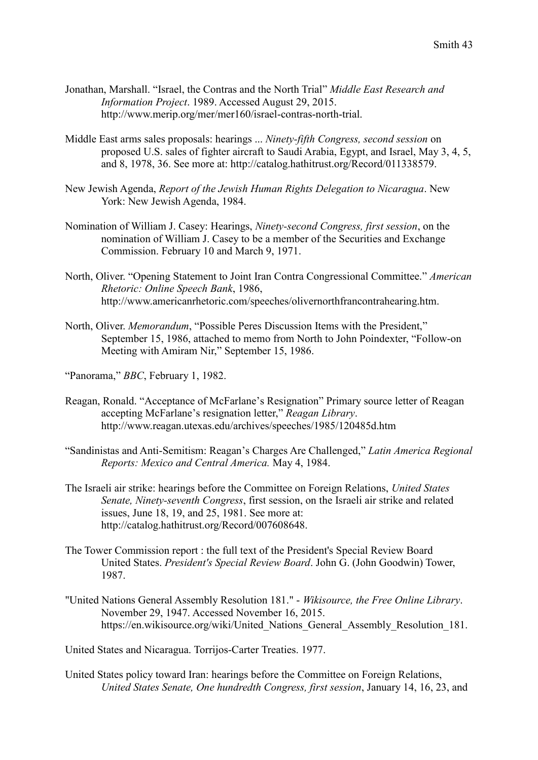- Jonathan, Marshall. "Israel, the Contras and the North Trial" *Middle East Research and Information Project*. 1989. Accessed August 29, 2015. http://www.merip.org/mer/mer160/israel-contras-north-trial.
- Middle East arms sales proposals: hearings ... *Ninety-fifth Congress, second session* on proposed U.S. sales of fighter aircraft to Saudi Arabia, Egypt, and Israel, May 3, 4, 5, and 8, 1978, 36. See more at: http://catalog.hathitrust.org/Record/011338579.
- New Jewish Agenda, *Report of the Jewish Human Rights Delegation to Nicaragua*. New York: New Jewish Agenda, 1984.
- Nomination of William J. Casey: Hearings, *Ninety-second Congress, first session*, on the nomination of William J. Casey to be a member of the Securities and Exchange Commission. February 10 and March 9, 1971.
- North, Oliver. "Opening Statement to Joint Iran Contra Congressional Committee." *American Rhetoric: Online Speech Bank*, 1986, http://www.americanrhetoric.com/speeches/olivernorthfrancontrahearing.htm.
- North, Oliver. *Memorandum*, "Possible Peres Discussion Items with the President," September 15, 1986, attached to memo from North to John Poindexter, "Follow-on Meeting with Amiram Nir," September 15, 1986.
- "Panorama," *BBC*, February 1, 1982.
- Reagan, Ronald. "Acceptance of McFarlane's Resignation" Primary source letter of Reagan accepting McFarlane's resignation letter," *Reagan Library*. http://www.reagan.utexas.edu/archives/speeches/1985/120485d.htm
- "Sandinistas and Anti-Semitism: Reagan's Charges Are Challenged," *Latin America Regional Reports: Mexico and Central America.* May 4, 1984.
- The Israeli air strike: hearings before the Committee on Foreign Relations, *United States Senate, Ninety-seventh Congress*, first session, on the Israeli air strike and related issues, June 18, 19, and 25, 1981. See more at: http://catalog.hathitrust.org/Record/007608648.
- The Tower Commission report : the full text of the President's Special Review Board United States. *President's Special Review Board*. John G. (John Goodwin) Tower, 1987.
- "United Nations General Assembly Resolution 181." *Wikisource, the Free Online Library*. November 29, 1947. Accessed November 16, 2015. https://en.wikisource.org/wiki/United\_Nations\_General\_Assembly\_Resolution\_181.

United States and Nicaragua. Torrijos-Carter Treaties. 1977.

United States policy toward Iran: hearings before the Committee on Foreign Relations, *United States Senate, One hundredth Congress, first session*, January 14, 16, 23, and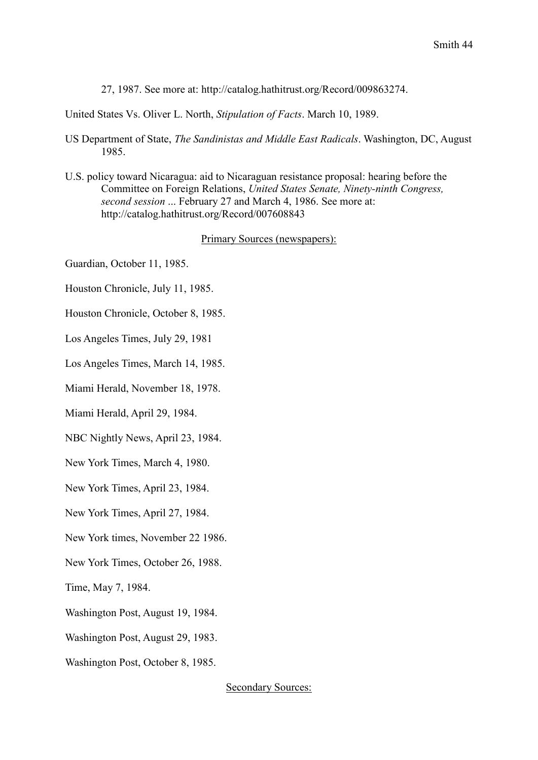27, 1987. See more at: http://catalog.hathitrust.org/Record/009863274.

United States Vs. Oliver L. North, *Stipulation of Facts*. March 10, 1989.

- US Department of State, *The Sandinistas and Middle East Radicals*. Washington, DC, August 1985.
- U.S. policy toward Nicaragua: aid to Nicaraguan resistance proposal: hearing before the Committee on Foreign Relations, *United States Senate, Ninety-ninth Congress, second session* ... February 27 and March 4, 1986. See more at: http://catalog.hathitrust.org/Record/007608843

#### Primary Sources (newspapers):

Guardian, October 11, 1985.

- Houston Chronicle, July 11, 1985.
- Houston Chronicle, October 8, 1985.
- Los Angeles Times, July 29, 1981
- Los Angeles Times, March 14, 1985.
- Miami Herald, November 18, 1978.
- Miami Herald, April 29, 1984.
- NBC Nightly News, April 23, 1984.
- New York Times, March 4, 1980.
- New York Times, April 23, 1984.
- New York Times, April 27, 1984.
- New York times, November 22 1986.
- New York Times, October 26, 1988.

Time, May 7, 1984.

- Washington Post, August 19, 1984.
- Washington Post, August 29, 1983.
- Washington Post, October 8, 1985.

Secondary Sources: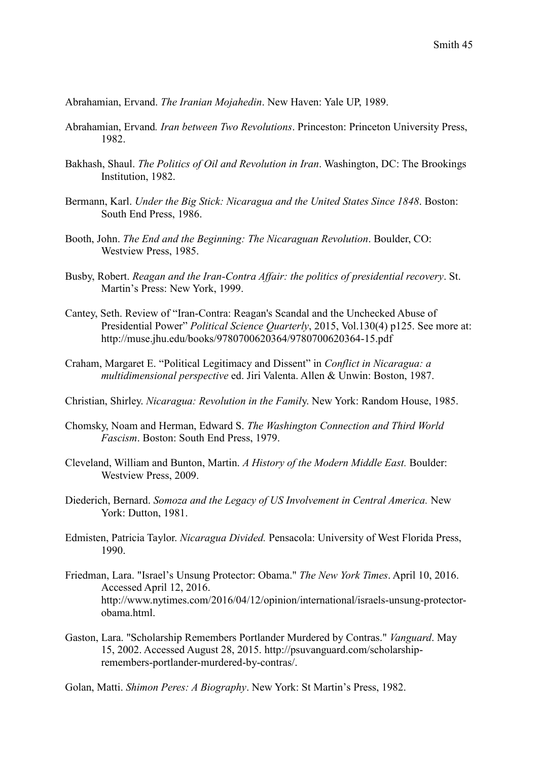Abrahamian, Ervand. *The Iranian Mojahedin*. New Haven: Yale UP, 1989.

- Abrahamian, Ervand*. Iran between Two Revolutions*. Princeston: Princeton University Press, 1982.
- Bakhash, Shaul. *The Politics of Oil and Revolution in Iran*. Washington, DC: The Brookings Institution, 1982.
- Bermann, Karl. *Under the Big Stick: Nicaragua and the United States Since 1848*. Boston: South End Press, 1986.
- Booth, John. *The End and the Beginning: The Nicaraguan Revolution*. Boulder, CO: Westview Press, 1985.
- Busby, Robert. *Reagan and the Iran-Contra Affair: the politics of presidential recovery*. St. Martin's Press: New York, 1999.
- Cantey, Seth. Review of "Iran-Contra: Reagan's Scandal and the Unchecked Abuse of Presidential Power" *Political Science Quarterly*, 2015, Vol.130(4) p125. See more at: http://muse.jhu.edu/books/9780700620364/9780700620364-15.pdf
- Craham, Margaret E. "Political Legitimacy and Dissent" in *Conflict in Nicaragua: a multidimensional perspective* ed. Jiri Valenta. Allen & Unwin: Boston, 1987.
- Christian, Shirley. *Nicaragua: Revolution in the Famil*y. New York: Random House, 1985.
- Chomsky, Noam and Herman, Edward S. *The Washington Connection and Third World Fascism*. Boston: South End Press, 1979.
- Cleveland, William and Bunton, Martin. *A History of the Modern Middle East.* Boulder: Westview Press, 2009.
- Diederich, Bernard. *Somoza and the Legacy of US Involvement in Central America.* New York: Dutton, 1981.
- Edmisten, Patricia Taylor. *Nicaragua Divided.* Pensacola: University of West Florida Press, 1990.
- Friedman, Lara. "Israel's Unsung Protector: Obama." *The New York Times*. April 10, 2016. Accessed April 12, 2016. http://www.nytimes.com/2016/04/12/opinion/international/israels-unsung-protectorobama.html.
- Gaston, Lara. "Scholarship Remembers Portlander Murdered by Contras." *Vanguard*. May 15, 2002. Accessed August 28, 2015. http://psuvanguard.com/scholarshipremembers-portlander-murdered-by-contras/.
- Golan, Matti. *Shimon Peres: A Biography*. New York: St Martin's Press, 1982.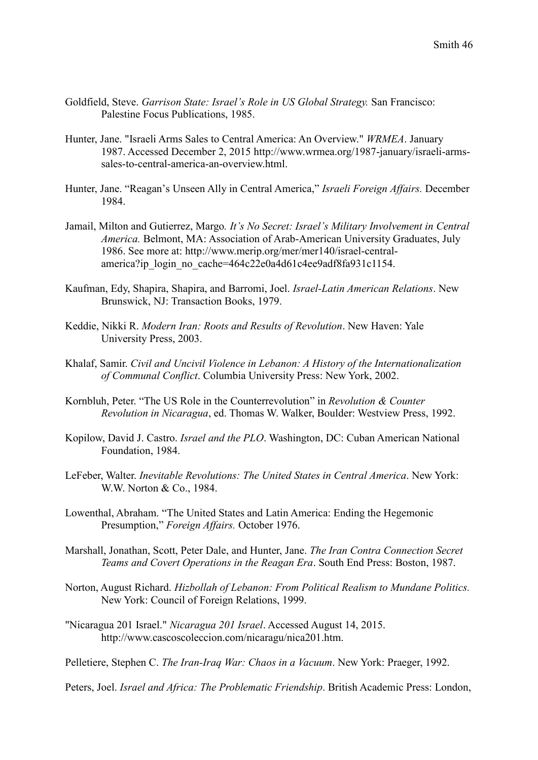- Goldfield, Steve. *Garrison State: Israel's Role in US Global Strategy.* San Francisco: Palestine Focus Publications, 1985.
- Hunter, Jane. "Israeli Arms Sales to Central America: An Overview." *WRMEA*. January 1987. Accessed December 2, 2015 http://www.wrmea.org/1987-january/israeli-armssales-to-central-america-an-overview.html.
- Hunter, Jane. "Reagan's Unseen Ally in Central America," *Israeli Foreign Affairs.* December 1984.
- Jamail, Milton and Gutierrez, Margo*. It's No Secret: Israel's Military Involvement in Central America.* Belmont, MA: Association of Arab-American University Graduates, July 1986. See more at: http://www.merip.org/mer/mer140/israel-centralamerica?ip\_login\_no\_cache=464c22e0a4d61c4ee9adf8fa931c1154.
- Kaufman, Edy, Shapira, Shapira, and Barromi, Joel. *Israel-Latin American Relations*. New Brunswick, NJ: Transaction Books, 1979.
- Keddie, Nikki R. *Modern Iran: Roots and Results of Revolution*. New Haven: Yale University Press, 2003.
- Khalaf, Samir. *Civil and Uncivil Violence in Lebanon: A History of the Internationalization of Communal Conflict*. Columbia University Press: New York, 2002.
- Kornbluh, Peter. "The US Role in the Counterrevolution" in *Revolution & Counter Revolution in Nicaragua*, ed. Thomas W. Walker, Boulder: Westview Press, 1992.
- Kopilow, David J. Castro. *Israel and the PLO*. Washington, DC: Cuban American National Foundation, 1984.
- LeFeber, Walter. *Inevitable Revolutions: The United States in Central America*. New York: W.W. Norton & Co., 1984.
- Lowenthal, Abraham. "The United States and Latin America: Ending the Hegemonic Presumption," *Foreign Affairs.* October 1976.
- Marshall, Jonathan, Scott, Peter Dale, and Hunter, Jane. *The Iran Contra Connection Secret Teams and Covert Operations in the Reagan Era*. South End Press: Boston, 1987.
- Norton, August Richard. *Hizbollah of Lebanon: From Political Realism to Mundane Politics.* New York: Council of Foreign Relations, 1999.
- "Nicaragua 201 Israel." *Nicaragua 201 Israel*. Accessed August 14, 2015. http://www.cascoscoleccion.com/nicaragu/nica201.htm.

Pelletiere, Stephen C. *The Iran-Iraq War: Chaos in a Vacuum*. New York: Praeger, 1992.

Peters, Joel. *Israel and Africa: The Problematic Friendship*. British Academic Press: London,